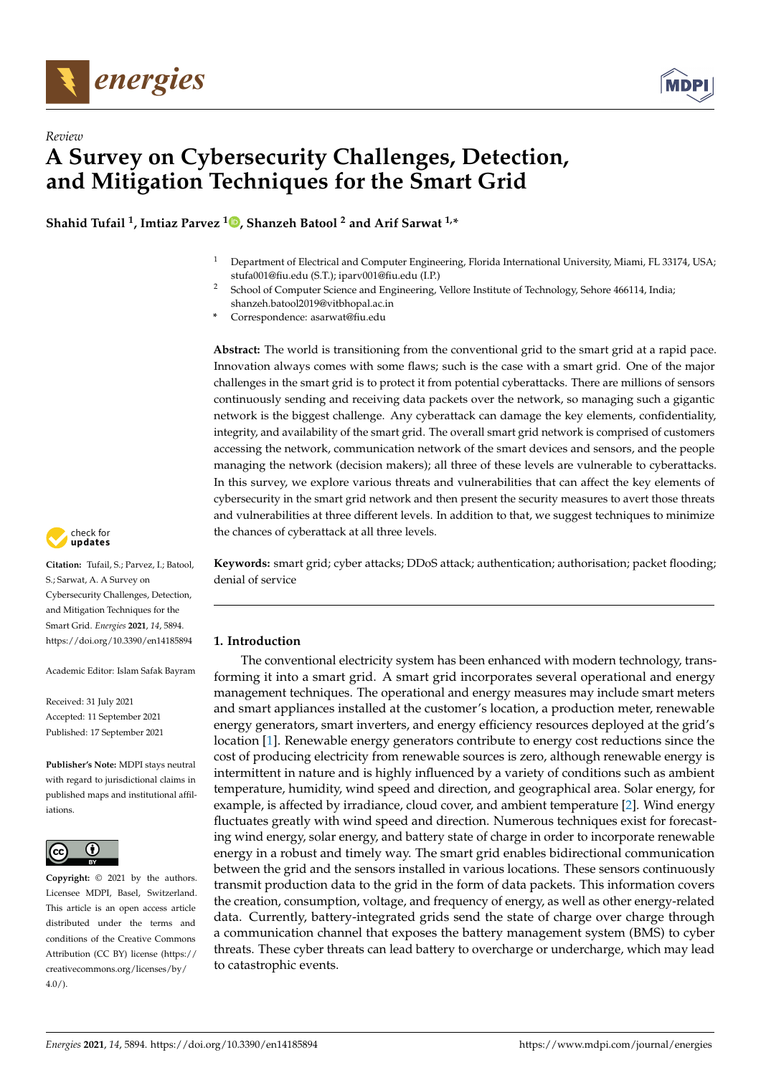



# *Review* **A Survey on Cybersecurity Challenges, Detection, and Mitigation Techniques for the Smart Grid**

**Shahid Tufail <sup>1</sup> , Imtiaz Parvez <sup>1</sup> [,](https://orcid.org/0000-0002-5134-3797) Shanzeh Batool <sup>2</sup> and Arif Sarwat 1,\***

- <sup>1</sup> Department of Electrical and Computer Engineering, Florida International University, Miami, FL 33174, USA; stufa001@fiu.edu (S.T.); iparv001@fiu.edu (I.P.)
- <sup>2</sup> School of Computer Science and Engineering, Vellore Institute of Technology, Sehore 466114, India; shanzeh.batool2019@vitbhopal.ac.in
- **\*** Correspondence: asarwat@fiu.edu

**Abstract:** The world is transitioning from the conventional grid to the smart grid at a rapid pace. Innovation always comes with some flaws; such is the case with a smart grid. One of the major challenges in the smart grid is to protect it from potential cyberattacks. There are millions of sensors continuously sending and receiving data packets over the network, so managing such a gigantic network is the biggest challenge. Any cyberattack can damage the key elements, confidentiality, integrity, and availability of the smart grid. The overall smart grid network is comprised of customers accessing the network, communication network of the smart devices and sensors, and the people managing the network (decision makers); all three of these levels are vulnerable to cyberattacks. In this survey, we explore various threats and vulnerabilities that can affect the key elements of cybersecurity in the smart grid network and then present the security measures to avert those threats and vulnerabilities at three different levels. In addition to that, we suggest techniques to minimize the chances of cyberattack at all three levels.

check for **-**

**Citation:** Tufail, S.; Parvez, I.; Batool, S.; Sarwat, A. A Survey on Cybersecurity Challenges, Detection, and Mitigation Techniques for the Smart Grid. *Energies* **2021**, *14*, 5894. <https://doi.org/10.3390/en14185894>

Academic Editor: Islam Safak Bayram

Received: 31 July 2021 Accepted: 11 September 2021 Published: 17 September 2021

**Publisher's Note:** MDPI stays neutral with regard to jurisdictional claims in published maps and institutional affiliations.



**Copyright:** © 2021 by the authors. Licensee MDPI, Basel, Switzerland. This article is an open access article distributed under the terms and conditions of the Creative Commons Attribution (CC BY) license (https:/[/](https://creativecommons.org/licenses/by/4.0/) [creativecommons.org/licenses/by/](https://creativecommons.org/licenses/by/4.0/)  $4.0/$ ).

**Keywords:** smart grid; cyber attacks; DDoS attack; authentication; authorisation; packet flooding; denial of service

# **1. Introduction**

The conventional electricity system has been enhanced with modern technology, transforming it into a smart grid. A smart grid incorporates several operational and energy management techniques. The operational and energy measures may include smart meters and smart appliances installed at the customer's location, a production meter, renewable energy generators, smart inverters, and energy efficiency resources deployed at the grid's location [\[1\]](#page-17-0). Renewable energy generators contribute to energy cost reductions since the cost of producing electricity from renewable sources is zero, although renewable energy is intermittent in nature and is highly influenced by a variety of conditions such as ambient temperature, humidity, wind speed and direction, and geographical area. Solar energy, for example, is affected by irradiance, cloud cover, and ambient temperature [\[2\]](#page-17-1). Wind energy fluctuates greatly with wind speed and direction. Numerous techniques exist for forecasting wind energy, solar energy, and battery state of charge in order to incorporate renewable energy in a robust and timely way. The smart grid enables bidirectional communication between the grid and the sensors installed in various locations. These sensors continuously transmit production data to the grid in the form of data packets. This information covers the creation, consumption, voltage, and frequency of energy, as well as other energy-related data. Currently, battery-integrated grids send the state of charge over charge through a communication channel that exposes the battery management system (BMS) to cyber threats. These cyber threats can lead battery to overcharge or undercharge, which may lead to catastrophic events.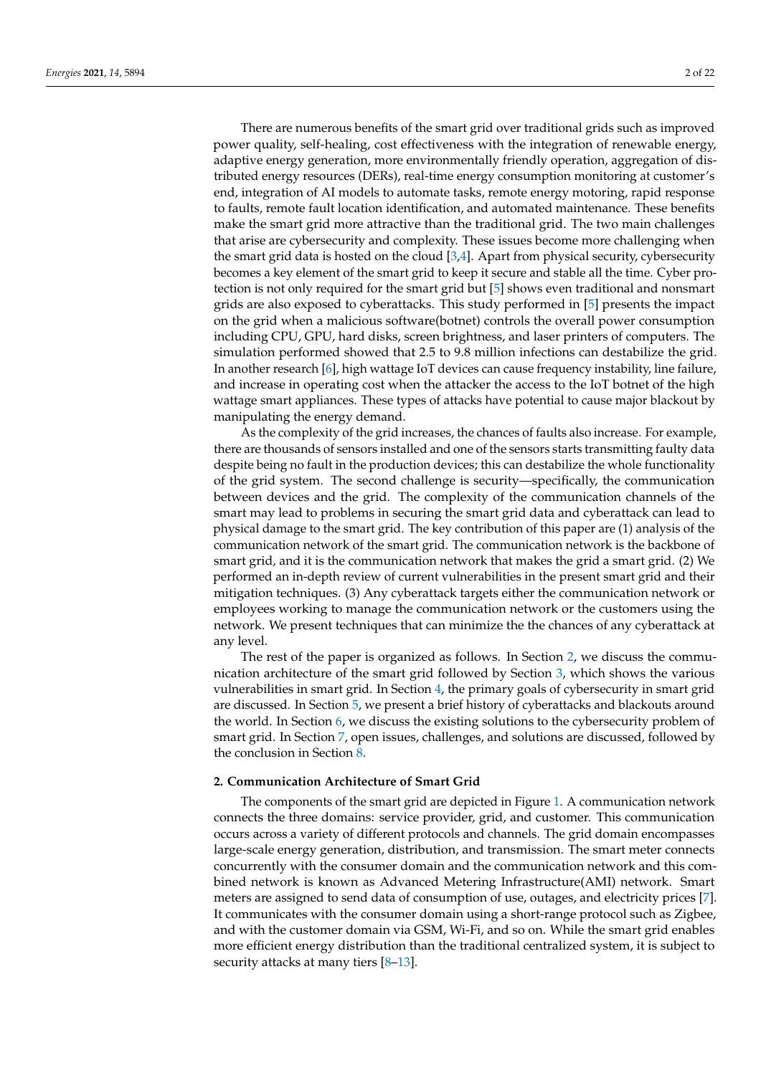There are numerous benefits of the smart grid over traditional grids such as improved power quality, self-healing, cost effectiveness with the integration of renewable energy, adaptive energy generation, more environmentally friendly operation, aggregation of distributed energy resources (DERs), real-time energy consumption monitoring at customer's end, integration of AI models to automate tasks, remote energy motoring, rapid response to faults, remote fault location identification, and automated maintenance. These benefits make the smart grid more attractive than the traditional grid. The two main challenges that arise are cybersecurity and complexity. These issues become more challenging when the smart grid data is hosted on the cloud  $[3,4]$  $[3,4]$ . Apart from physical security, cybersecurity becomes a key element of the smart grid to keep it secure and stable all the time. Cyber protection is not only required for the smart grid but [\[5\]](#page-18-2) shows even traditional and nonsmart grids are also exposed to cyberattacks. This study performed in [\[5\]](#page-18-2) presents the impact on the grid when a malicious software(botnet) controls the overall power consumption including CPU, GPU, hard disks, screen brightness, and laser printers of computers. The simulation performed showed that 2.5 to 9.8 million infections can destabilize the grid. In another research [\[6\]](#page-18-3), high wattage IoT devices can cause frequency instability, line failure, and increase in operating cost when the attacker the access to the IoT botnet of the high wattage smart appliances. These types of attacks have potential to cause major blackout by manipulating the energy demand.

As the complexity of the grid increases, the chances of faults also increase. For example, there are thousands of sensors installed and one of the sensors starts transmitting faulty data despite being no fault in the production devices; this can destabilize the whole functionality of the grid system. The second challenge is security—specifically, the communication between devices and the grid. The complexity of the communication channels of the smart may lead to problems in securing the smart grid data and cyberattack can lead to physical damage to the smart grid. The key contribution of this paper are (1) analysis of the communication network of the smart grid. The communication network is the backbone of smart grid, and it is the communication network that makes the grid a smart grid. (2) We performed an in-depth review of current vulnerabilities in the present smart grid and their mitigation techniques. (3) Any cyberattack targets either the communication network or employees working to manage the communication network or the customers using the network. We present techniques that can minimize the the chances of any cyberattack at any level.

The rest of the paper is organized as follows. In Section [2,](#page-1-0) we discuss the communication architecture of the smart grid followed by Section [3,](#page-2-0) which shows the various vulnerabilities in smart grid. In Section [4,](#page-4-0) the primary goals of cybersecurity in smart grid are discussed. In Section [5,](#page-8-0) we present a brief history of cyberattacks and blackouts around the world. In Section [6,](#page-9-0) we discuss the existing solutions to the cybersecurity problem of smart grid. In Section [7,](#page-16-0) open issues, challenges, and solutions are discussed, followed by the conclusion in Section [8.](#page-17-2)

#### <span id="page-1-0"></span>**2. Communication Architecture of Smart Grid**

The components of the smart grid are depicted in Figure [1.](#page-2-1) A communication network connects the three domains: service provider, grid, and customer. This communication occurs across a variety of different protocols and channels. The grid domain encompasses large-scale energy generation, distribution, and transmission. The smart meter connects concurrently with the consumer domain and the communication network and this combined network is known as Advanced Metering Infrastructure(AMI) network. Smart meters are assigned to send data of consumption of use, outages, and electricity prices [\[7\]](#page-18-4). It communicates with the consumer domain using a short-range protocol such as Zigbee, and with the customer domain via GSM, Wi-Fi, and so on. While the smart grid enables more efficient energy distribution than the traditional centralized system, it is subject to security attacks at many tiers [\[8](#page-18-5)[–13\]](#page-18-6).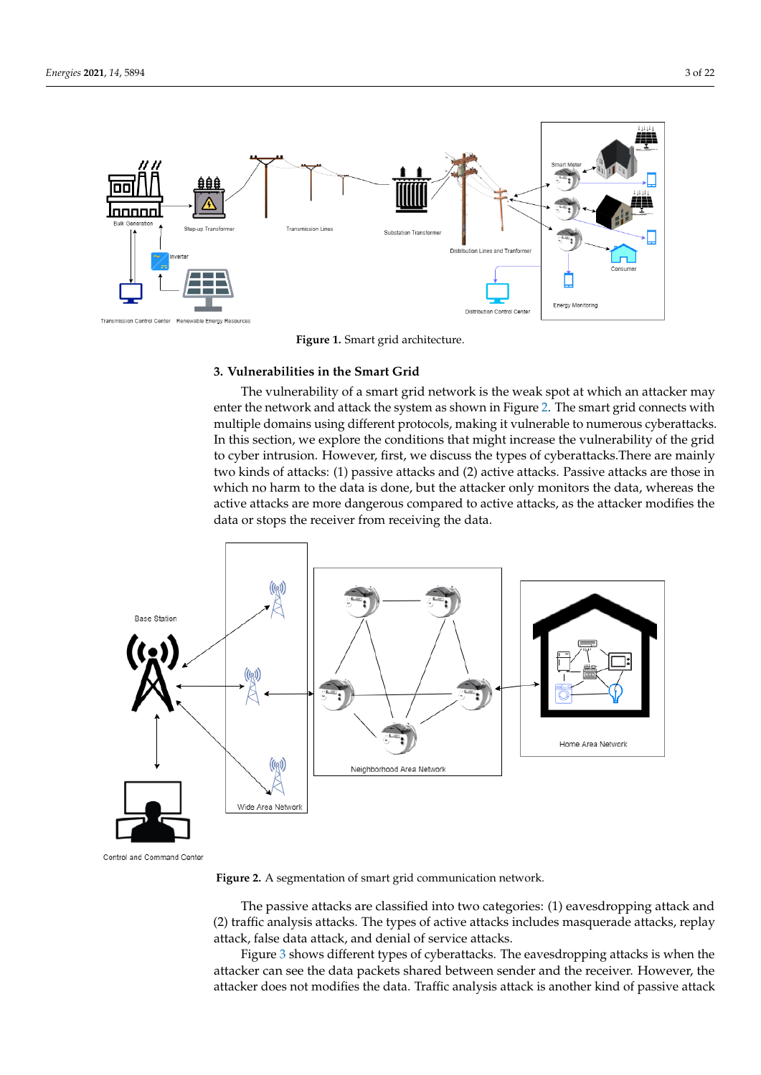<span id="page-2-1"></span>

**Figure 1.** Smart grid architecture.

# <span id="page-2-0"></span>**3. Vulnerabilities in the Smart Grid**

The vulnerability of a smart grid network is the weak spot at which an attacker may enter the network and attack the system as shown in Figure [2.](#page-2-2) The smart grid connects with multiple domains using different protocols, making it vulnerable to numerous cyberattacks. In this section, we explore the conditions that might increase the vulnerability of the grid to cyber intrusion. However, first, we discuss the types of cyberattacks.There are mainly two kinds of attacks: (1) passive attacks and (2) active attacks. Passive attacks are those in which no harm to the data is done, but the attacker only monitors the data, whereas the active attacks are more dangerous compared to active attacks, as the attacker modifies the data or stops the receiver from receiving the data.

<span id="page-2-2"></span>

Control and Command Center

**Figure 2.** A segmentation of smart grid communication network.

The passive attacks are classified into two categories: (1) eavesdropping attack and (2) traffic analysis attacks. The types of active attacks includes masquerade attacks, replay attack, false data attack, and denial of service attacks.

Figure [3](#page-3-0) shows different types of cyberattacks. The eavesdropping attacks is when the attacker can see the data packets shared between sender and the receiver. However, the attacker does not modifies the data. Traffic analysis attack is another kind of passive attack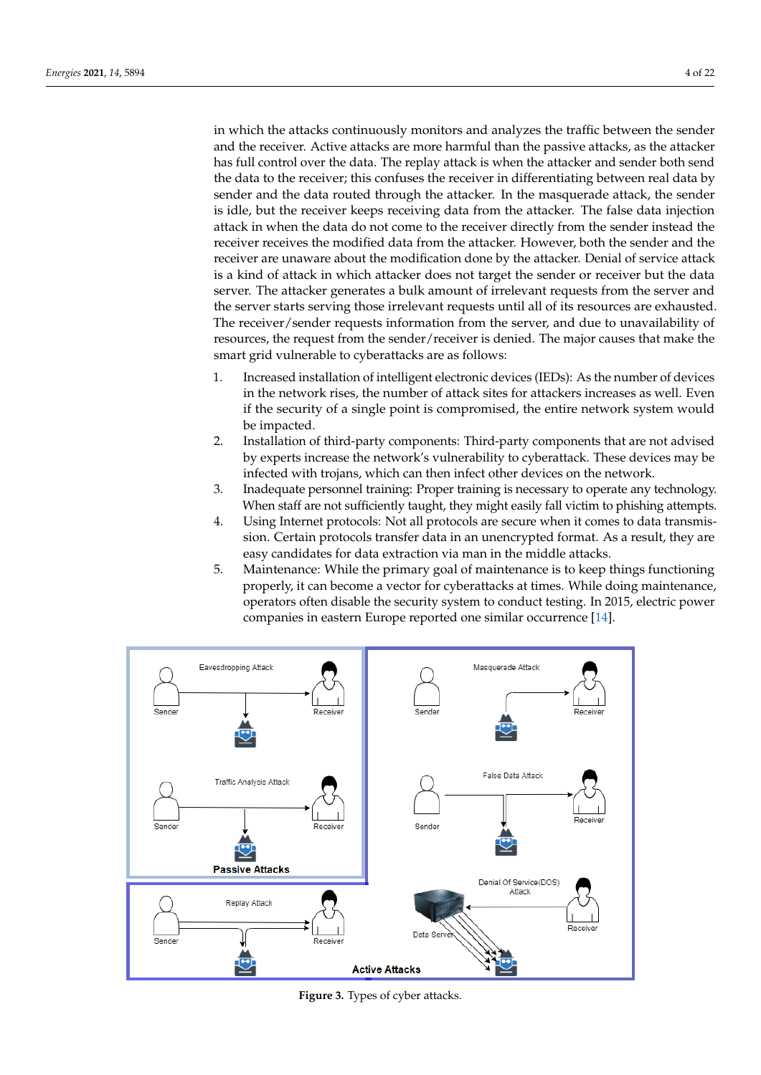in which the attacks continuously monitors and analyzes the traffic between the sender and the receiver. Active attacks are more harmful than the passive attacks, as the attacker has full control over the data. The replay attack is when the attacker and sender both send the data to the receiver; this confuses the receiver in differentiating between real data by sender and the data routed through the attacker. In the masquerade attack, the sender is idle, but the receiver keeps receiving data from the attacker. The false data injection attack in when the data do not come to the receiver directly from the sender instead the receiver receives the modified data from the attacker. However, both the sender and the receiver are unaware about the modification done by the attacker. Denial of service attack is a kind of attack in which attacker does not target the sender or receiver but the data server. The attacker generates a bulk amount of irrelevant requests from the server and the server starts serving those irrelevant requests until all of its resources are exhausted. The receiver/sender requests information from the server, and due to unavailability of resources, the request from the sender/receiver is denied. The major causes that make the smart grid vulnerable to cyberattacks are as follows:

- 1. Increased installation of intelligent electronic devices (IEDs): As the number of devices in the network rises, the number of attack sites for attackers increases as well. Even if the security of a single point is compromised, the entire network system would be impacted.
- 2. Installation of third-party components: Third-party components that are not advised by experts increase the network's vulnerability to cyberattack. These devices may be infected with trojans, which can then infect other devices on the network.
- 3. Inadequate personnel training: Proper training is necessary to operate any technology. When staff are not sufficiently taught, they might easily fall victim to phishing attempts.
- 4. Using Internet protocols: Not all protocols are secure when it comes to data transmission. Certain protocols transfer data in an unencrypted format. As a result, they are easy candidates for data extraction via man in the middle attacks.
- 5. Maintenance: While the primary goal of maintenance is to keep things functioning properly, it can become a vector for cyberattacks at times. While doing maintenance, operators often disable the security system to conduct testing. In 2015, electric power companies in eastern Europe reported one similar occurrence [\[14\]](#page-18-7).

<span id="page-3-0"></span>

**Figure 3.** Types of cyber attacks.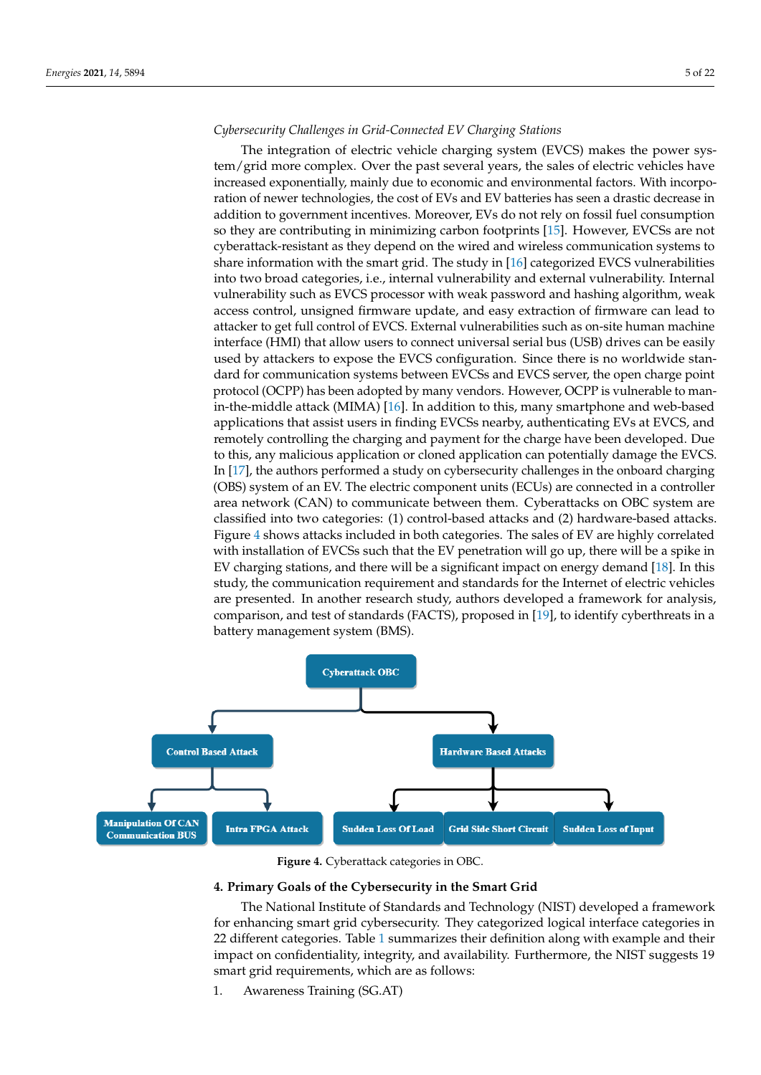# *Cybersecurity Challenges in Grid-Connected EV Charging Stations*

The integration of electric vehicle charging system (EVCS) makes the power system/grid more complex. Over the past several years, the sales of electric vehicles have increased exponentially, mainly due to economic and environmental factors. With incorporation of newer technologies, the cost of EVs and EV batteries has seen a drastic decrease in addition to government incentives. Moreover, EVs do not rely on fossil fuel consumption so they are contributing in minimizing carbon footprints [\[15\]](#page-18-8). However, EVCSs are not cyberattack-resistant as they depend on the wired and wireless communication systems to share information with the smart grid. The study in [\[16\]](#page-18-9) categorized EVCS vulnerabilities into two broad categories, i.e., internal vulnerability and external vulnerability. Internal vulnerability such as EVCS processor with weak password and hashing algorithm, weak access control, unsigned firmware update, and easy extraction of firmware can lead to attacker to get full control of EVCS. External vulnerabilities such as on-site human machine interface (HMI) that allow users to connect universal serial bus (USB) drives can be easily used by attackers to expose the EVCS configuration. Since there is no worldwide standard for communication systems between EVCSs and EVCS server, the open charge point protocol (OCPP) has been adopted by many vendors. However, OCPP is vulnerable to manin-the-middle attack (MIMA) [\[16\]](#page-18-9). In addition to this, many smartphone and web-based applications that assist users in finding EVCSs nearby, authenticating EVs at EVCS, and remotely controlling the charging and payment for the charge have been developed. Due to this, any malicious application or cloned application can potentially damage the EVCS. In [\[17\]](#page-18-10), the authors performed a study on cybersecurity challenges in the onboard charging (OBS) system of an EV. The electric component units (ECUs) are connected in a controller area network (CAN) to communicate between them. Cyberattacks on OBC system are classified into two categories: (1) control-based attacks and (2) hardware-based attacks. Figure [4](#page-4-1) shows attacks included in both categories. The sales of EV are highly correlated with installation of EVCSs such that the EV penetration will go up, there will be a spike in EV charging stations, and there will be a significant impact on energy demand [\[18\]](#page-18-11). In this study, the communication requirement and standards for the Internet of electric vehicles are presented. In another research study, authors developed a framework for analysis, comparison, and test of standards (FACTS), proposed in [\[19\]](#page-18-12), to identify cyberthreats in a battery management system (BMS).

<span id="page-4-1"></span>

**Figure 4.** Cyberattack categories in OBC.

# <span id="page-4-0"></span>**4. Primary Goals of the Cybersecurity in the Smart Grid**

The National Institute of Standards and Technology (NIST) developed a framework for enhancing smart grid cybersecurity. They categorized logical interface categories in 22 different categories. Table [1](#page-6-0) summarizes their definition along with example and their impact on confidentiality, integrity, and availability. Furthermore, the NIST suggests 19 smart grid requirements, which are as follows:

1. Awareness Training (SG.AT)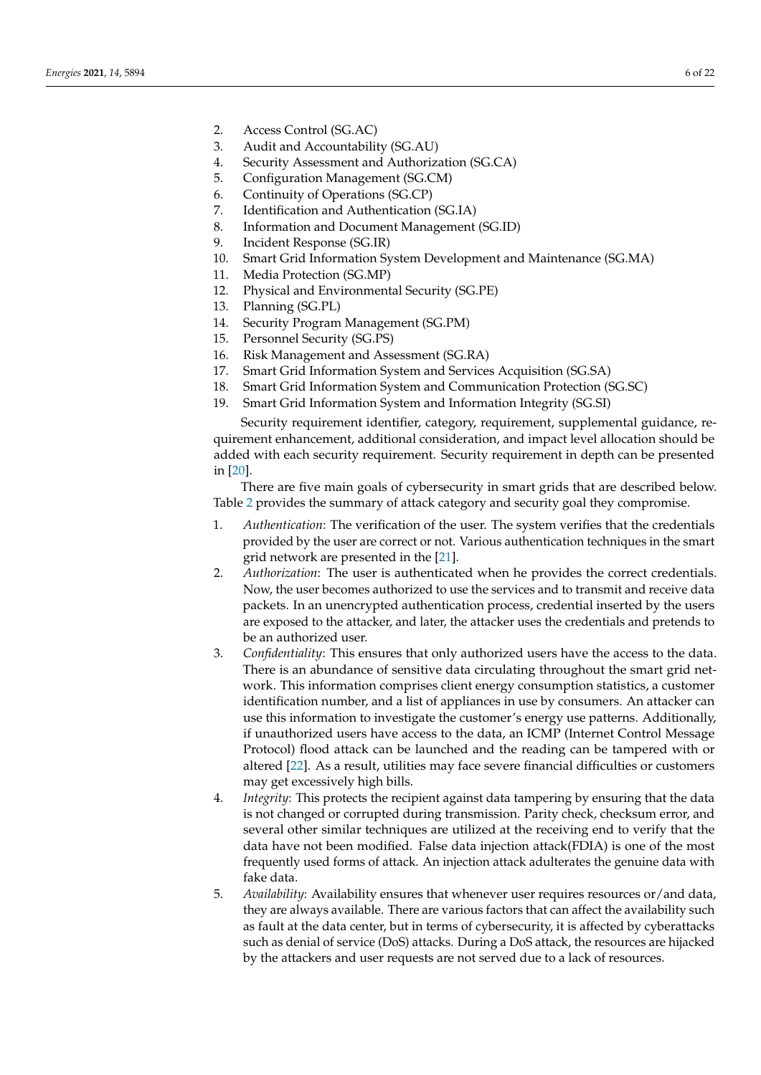- 2. Access Control (SG.AC)
- 3. Audit and Accountability (SG.AU)
- 4. Security Assessment and Authorization (SG.CA)
- 5. Configuration Management (SG.CM)
- 6. Continuity of Operations (SG.CP)
- 7. Identification and Authentication (SG.IA)
- 8. Information and Document Management (SG.ID)
- 9. Incident Response (SG.IR)
- 10. Smart Grid Information System Development and Maintenance (SG.MA)
- 11. Media Protection (SG.MP)
- 12. Physical and Environmental Security (SG.PE)
- 13. Planning (SG.PL)
- 14. Security Program Management (SG.PM)
- 15. Personnel Security (SG.PS)
- 16. Risk Management and Assessment (SG.RA)
- 17. Smart Grid Information System and Services Acquisition (SG.SA)
- 18. Smart Grid Information System and Communication Protection (SG.SC)
- 19. Smart Grid Information System and Information Integrity (SG.SI)

Security requirement identifier, category, requirement, supplemental guidance, requirement enhancement, additional consideration, and impact level allocation should be added with each security requirement. Security requirement in depth can be presented in [\[20\]](#page-18-13).

There are five main goals of cybersecurity in smart grids that are described below. Table [2](#page-8-1) provides the summary of attack category and security goal they compromise.

- 1. *Authentication*: The verification of the user. The system verifies that the credentials provided by the user are correct or not. Various authentication techniques in the smart grid network are presented in the [\[21\]](#page-18-14).
- 2. *Authorization*: The user is authenticated when he provides the correct credentials. Now, the user becomes authorized to use the services and to transmit and receive data packets. In an unencrypted authentication process, credential inserted by the users are exposed to the attacker, and later, the attacker uses the credentials and pretends to be an authorized user.
- 3. *Confidentiality*: This ensures that only authorized users have the access to the data. There is an abundance of sensitive data circulating throughout the smart grid network. This information comprises client energy consumption statistics, a customer identification number, and a list of appliances in use by consumers. An attacker can use this information to investigate the customer's energy use patterns. Additionally, if unauthorized users have access to the data, an ICMP (Internet Control Message Protocol) flood attack can be launched and the reading can be tampered with or altered [\[22\]](#page-18-15). As a result, utilities may face severe financial difficulties or customers may get excessively high bills.
- 4. *Integrity*: This protects the recipient against data tampering by ensuring that the data is not changed or corrupted during transmission. Parity check, checksum error, and several other similar techniques are utilized at the receiving end to verify that the data have not been modified. False data injection attack(FDIA) is one of the most frequently used forms of attack. An injection attack adulterates the genuine data with fake data.
- 5. *Availability*: Availability ensures that whenever user requires resources or/and data, they are always available. There are various factors that can affect the availability such as fault at the data center, but in terms of cybersecurity, it is affected by cyberattacks such as denial of service (DoS) attacks. During a DoS attack, the resources are hijacked by the attackers and user requests are not served due to a lack of resources.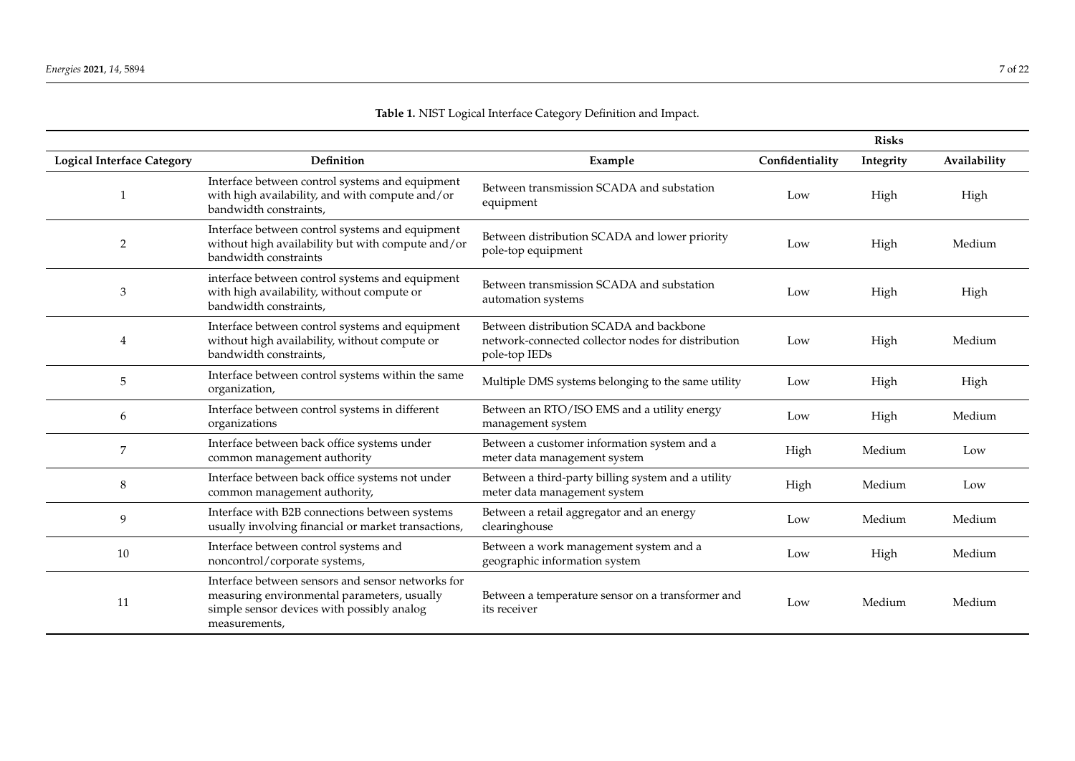| Table 1. NIST Logical Interface Category Definition and Impact. |  |
|-----------------------------------------------------------------|--|
|-----------------------------------------------------------------|--|

<span id="page-6-0"></span>

|                                   |                                                                                                                                                                 |                                                                                                                |                 | <b>Risks</b> |              |
|-----------------------------------|-----------------------------------------------------------------------------------------------------------------------------------------------------------------|----------------------------------------------------------------------------------------------------------------|-----------------|--------------|--------------|
| <b>Logical Interface Category</b> | Definition                                                                                                                                                      | Example                                                                                                        | Confidentiality | Integrity    | Availability |
|                                   | Interface between control systems and equipment<br>with high availability, and with compute and/or<br>bandwidth constraints,                                    | Between transmission SCADA and substation<br>equipment                                                         | Low             | High         | High         |
| $\overline{2}$                    | Interface between control systems and equipment<br>without high availability but with compute and/or<br>bandwidth constraints                                   | Between distribution SCADA and lower priority<br>pole-top equipment                                            | Low             | High         | Medium       |
| 3                                 | interface between control systems and equipment<br>with high availability, without compute or<br>bandwidth constraints,                                         | Between transmission SCADA and substation<br>automation systems                                                | Low             | High         | High         |
| 4                                 | Interface between control systems and equipment<br>without high availability, without compute or<br>bandwidth constraints,                                      | Between distribution SCADA and backbone<br>network-connected collector nodes for distribution<br>pole-top IEDs | Low             | High         | Medium       |
| 5                                 | Interface between control systems within the same<br>organization,                                                                                              | Multiple DMS systems belonging to the same utility                                                             | Low             | High         | High         |
| 6                                 | Interface between control systems in different<br>organizations                                                                                                 | Between an RTO/ISO EMS and a utility energy<br>management system                                               | Low             | High         | Medium       |
| 7                                 | Interface between back office systems under<br>common management authority                                                                                      | Between a customer information system and a<br>meter data management system                                    | High            | Medium       | Low          |
| 8                                 | Interface between back office systems not under<br>common management authority,                                                                                 | Between a third-party billing system and a utility<br>meter data management system                             | High            | Medium       | Low          |
| 9                                 | Interface with B2B connections between systems<br>usually involving financial or market transactions,                                                           | Between a retail aggregator and an energy<br>clearinghouse                                                     | Low             | Medium       | Medium       |
| 10                                | Interface between control systems and<br>noncontrol/corporate systems,                                                                                          | Between a work management system and a<br>geographic information system                                        | Low             | High         | Medium       |
| 11                                | Interface between sensors and sensor networks for<br>measuring environmental parameters, usually<br>simple sensor devices with possibly analog<br>measurements, | Between a temperature sensor on a transformer and<br>its receiver                                              | Low             | Medium       | Medium       |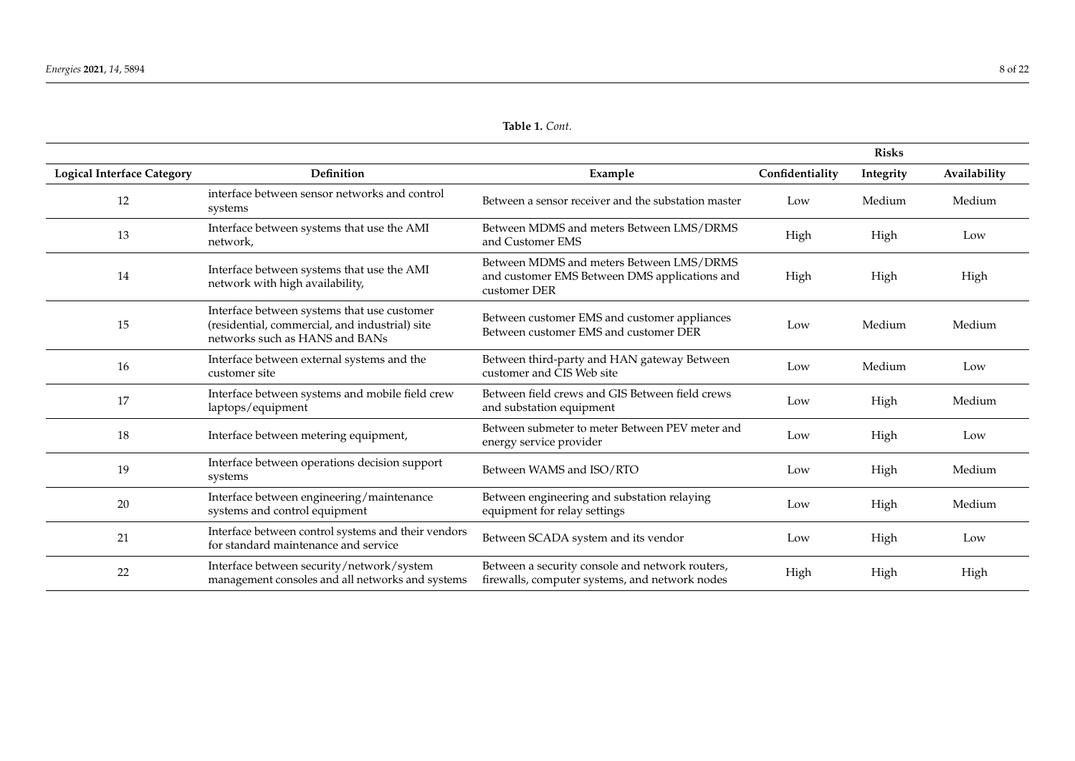|                                   |                                                                                                                                 |                                                                                                           |                 | <b>Risks</b> |              |
|-----------------------------------|---------------------------------------------------------------------------------------------------------------------------------|-----------------------------------------------------------------------------------------------------------|-----------------|--------------|--------------|
| <b>Logical Interface Category</b> | Definition                                                                                                                      | Example                                                                                                   | Confidentiality | Integrity    | Availability |
| 12                                | interface between sensor networks and control<br>systems                                                                        | Between a sensor receiver and the substation master                                                       | Low             | Medium       | Medium       |
| 13                                | Interface between systems that use the AMI<br>network,                                                                          | Between MDMS and meters Between LMS/DRMS<br>and Customer EMS                                              | High            | High         | Low          |
| 14                                | Interface between systems that use the AMI<br>network with high availability,                                                   | Between MDMS and meters Between LMS/DRMS<br>and customer EMS Between DMS applications and<br>customer DER | High            | High         | High         |
| 15                                | Interface between systems that use customer<br>(residential, commercial, and industrial) site<br>networks such as HANS and BANs | Between customer EMS and customer appliances<br>Between customer EMS and customer DER                     | Low             | Medium       | Medium       |
| 16                                | Interface between external systems and the<br>customer site                                                                     | Between third-party and HAN gateway Between<br>customer and CIS Web site                                  | Low             | Medium       | Low          |
| 17                                | Interface between systems and mobile field crew<br>laptops/equipment                                                            | Between field crews and GIS Between field crews<br>and substation equipment                               | Low             | High         | Medium       |
| 18                                | Interface between metering equipment,                                                                                           | Between submeter to meter Between PEV meter and<br>energy service provider                                | Low             | High         | Low          |
| 19                                | Interface between operations decision support<br>systems                                                                        | Between WAMS and ISO/RTO                                                                                  | Low             | High         | Medium       |
| 20                                | Interface between engineering/maintenance<br>systems and control equipment                                                      | Between engineering and substation relaying<br>equipment for relay settings                               | Low             | High         | Medium       |
| 21                                | Interface between control systems and their vendors<br>for standard maintenance and service                                     | Between SCADA system and its vendor                                                                       | Low             | High         | Low          |
| 22                                | Interface between security/network/system<br>management consoles and all networks and systems                                   | Between a security console and network routers,<br>firewalls, computer systems, and network nodes         | High            | High         | High         |

# **Table 1.** *Cont.*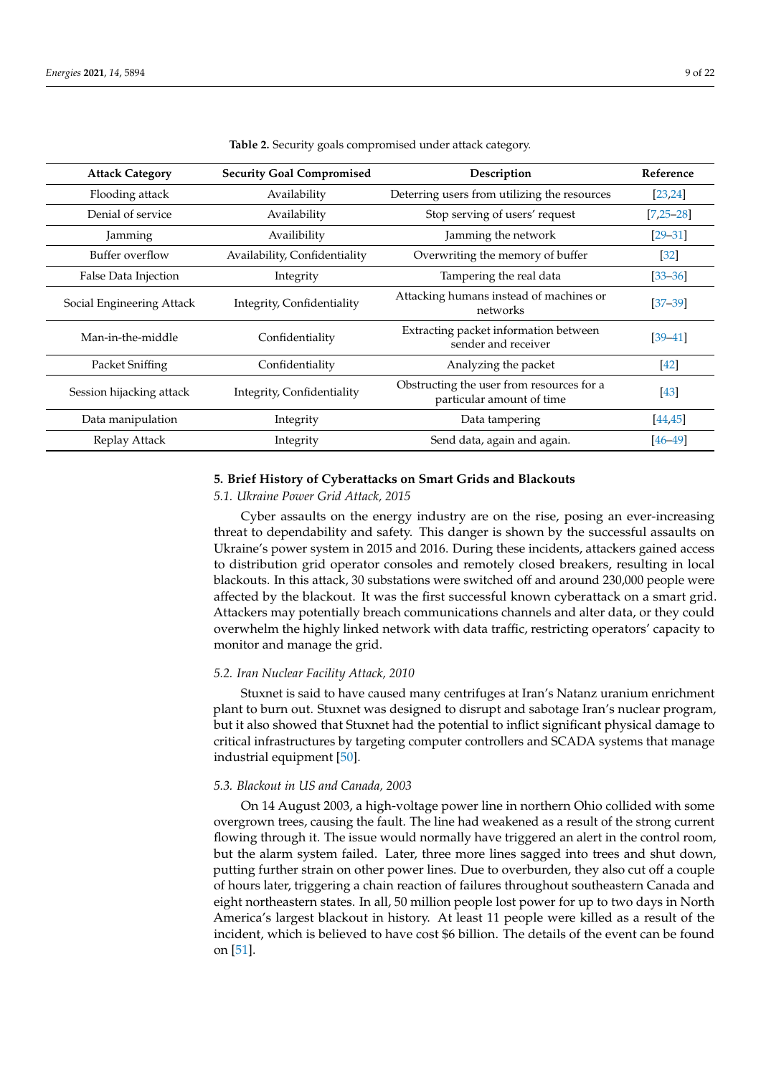<span id="page-8-1"></span>

| <b>Attack Category</b>    | <b>Security Goal Compromised</b> | Description                                                            | Reference         |
|---------------------------|----------------------------------|------------------------------------------------------------------------|-------------------|
| Flooding attack           | Availability                     | Deterring users from utilizing the resources                           | [23, 24]          |
| Denial of service         | Availability                     | Stop serving of users' request                                         | $[7, 25 - 28]$    |
| Jamming                   | Availibility                     | Jamming the network                                                    | $[29 - 31]$       |
| Buffer overflow           | Availability, Confidentiality    | Overwriting the memory of buffer                                       | $\left[32\right]$ |
| False Data Injection      | Integrity                        | Tampering the real data                                                | $[33 - 36]$       |
| Social Engineering Attack | Integrity, Confidentiality       | Attacking humans instead of machines or<br>networks                    | $[37 - 39]$       |
| Man-in-the-middle         | Confidentiality                  | Extracting packet information between<br>sender and receiver           | $[39 - 41]$       |
| Packet Sniffing           | Confidentiality                  | Analyzing the packet                                                   | $[42]$            |
| Session hijacking attack  | Integrity, Confidentiality       | Obstructing the user from resources for a<br>particular amount of time | $[43]$            |
| Data manipulation         | Integrity                        | Data tampering                                                         | [44, 45]          |
| Replay Attack             | Integrity                        | Send data, again and again.                                            | $[46 - 49]$       |

**Table 2.** Security goals compromised under attack category.

# <span id="page-8-0"></span>**5. Brief History of Cyberattacks on Smart Grids and Blackouts**

# *5.1. Ukraine Power Grid Attack, 2015*

Cyber assaults on the energy industry are on the rise, posing an ever-increasing threat to dependability and safety. This danger is shown by the successful assaults on Ukraine's power system in 2015 and 2016. During these incidents, attackers gained access to distribution grid operator consoles and remotely closed breakers, resulting in local blackouts. In this attack, 30 substations were switched off and around 230,000 people were affected by the blackout. It was the first successful known cyberattack on a smart grid. Attackers may potentially breach communications channels and alter data, or they could overwhelm the highly linked network with data traffic, restricting operators' capacity to monitor and manage the grid.

#### *5.2. Iran Nuclear Facility Attack, 2010*

Stuxnet is said to have caused many centrifuges at Iran's Natanz uranium enrichment plant to burn out. Stuxnet was designed to disrupt and sabotage Iran's nuclear program, but it also showed that Stuxnet had the potential to inflict significant physical damage to critical infrastructures by targeting computer controllers and SCADA systems that manage industrial equipment [\[50\]](#page-19-15).

# *5.3. Blackout in US and Canada, 2003*

On 14 August 2003, a high-voltage power line in northern Ohio collided with some overgrown trees, causing the fault. The line had weakened as a result of the strong current flowing through it. The issue would normally have triggered an alert in the control room, but the alarm system failed. Later, three more lines sagged into trees and shut down, putting further strain on other power lines. Due to overburden, they also cut off a couple of hours later, triggering a chain reaction of failures throughout southeastern Canada and eight northeastern states. In all, 50 million people lost power for up to two days in North America's largest blackout in history. At least 11 people were killed as a result of the incident, which is believed to have cost \$6 billion. The details of the event can be found on [\[51\]](#page-19-16).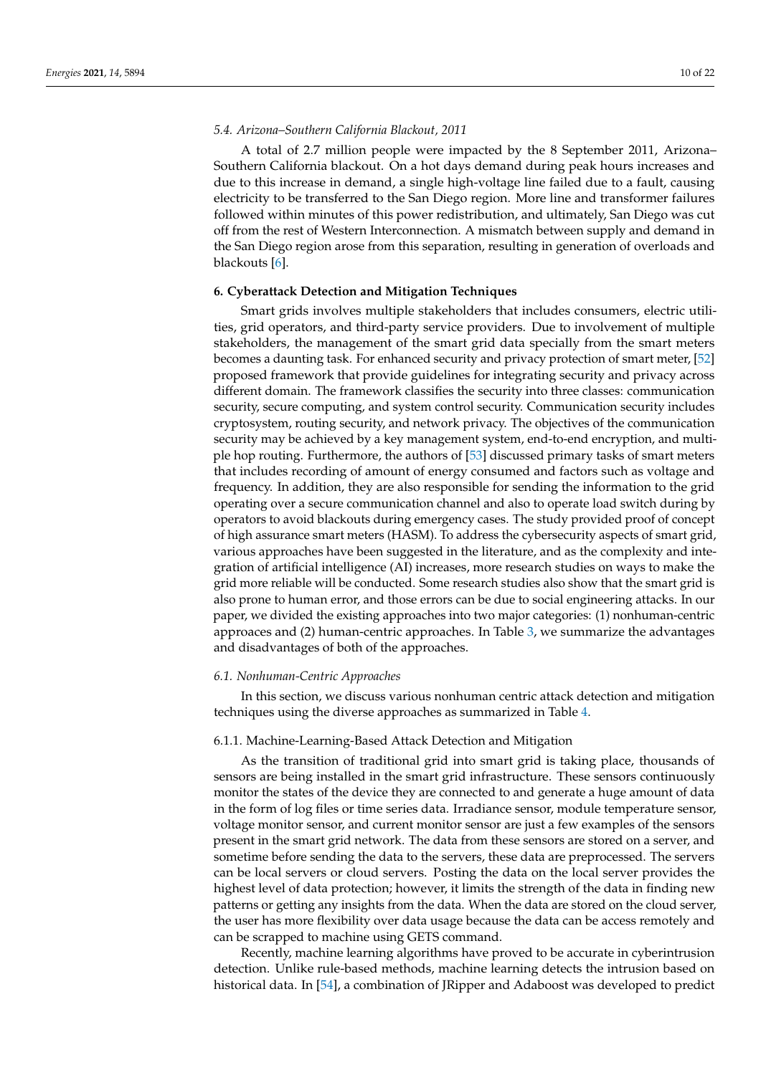# *5.4. Arizona–Southern California Blackout, 2011*

A total of 2.7 million people were impacted by the 8 September 2011, Arizona– Southern California blackout. On a hot days demand during peak hours increases and due to this increase in demand, a single high-voltage line failed due to a fault, causing electricity to be transferred to the San Diego region. More line and transformer failures followed within minutes of this power redistribution, and ultimately, San Diego was cut off from the rest of Western Interconnection. A mismatch between supply and demand in the San Diego region arose from this separation, resulting in generation of overloads and blackouts [\[6\]](#page-18-3).

#### <span id="page-9-0"></span>**6. Cyberattack Detection and Mitigation Techniques**

Smart grids involves multiple stakeholders that includes consumers, electric utilities, grid operators, and third-party service providers. Due to involvement of multiple stakeholders, the management of the smart grid data specially from the smart meters becomes a daunting task. For enhanced security and privacy protection of smart meter, [\[52\]](#page-19-17) proposed framework that provide guidelines for integrating security and privacy across different domain. The framework classifies the security into three classes: communication security, secure computing, and system control security. Communication security includes cryptosystem, routing security, and network privacy. The objectives of the communication security may be achieved by a key management system, end-to-end encryption, and multiple hop routing. Furthermore, the authors of [\[53\]](#page-20-0) discussed primary tasks of smart meters that includes recording of amount of energy consumed and factors such as voltage and frequency. In addition, they are also responsible for sending the information to the grid operating over a secure communication channel and also to operate load switch during by operators to avoid blackouts during emergency cases. The study provided proof of concept of high assurance smart meters (HASM). To address the cybersecurity aspects of smart grid, various approaches have been suggested in the literature, and as the complexity and integration of artificial intelligence (AI) increases, more research studies on ways to make the grid more reliable will be conducted. Some research studies also show that the smart grid is also prone to human error, and those errors can be due to social engineering attacks. In our paper, we divided the existing approaches into two major categories: (1) nonhuman-centric approaces and (2) human-centric approaches. In Table [3,](#page-11-0) we summarize the advantages and disadvantages of both of the approaches.

#### *6.1. Nonhuman-Centric Approaches*

In this section, we discuss various nonhuman centric attack detection and mitigation techniques using the diverse approaches as summarized in Table [4.](#page-14-0)

#### 6.1.1. Machine-Learning-Based Attack Detection and Mitigation

As the transition of traditional grid into smart grid is taking place, thousands of sensors are being installed in the smart grid infrastructure. These sensors continuously monitor the states of the device they are connected to and generate a huge amount of data in the form of log files or time series data. Irradiance sensor, module temperature sensor, voltage monitor sensor, and current monitor sensor are just a few examples of the sensors present in the smart grid network. The data from these sensors are stored on a server, and sometime before sending the data to the servers, these data are preprocessed. The servers can be local servers or cloud servers. Posting the data on the local server provides the highest level of data protection; however, it limits the strength of the data in finding new patterns or getting any insights from the data. When the data are stored on the cloud server, the user has more flexibility over data usage because the data can be access remotely and can be scrapped to machine using GETS command.

Recently, machine learning algorithms have proved to be accurate in cyberintrusion detection. Unlike rule-based methods, machine learning detects the intrusion based on historical data. In [\[54\]](#page-20-1), a combination of JRipper and Adaboost was developed to predict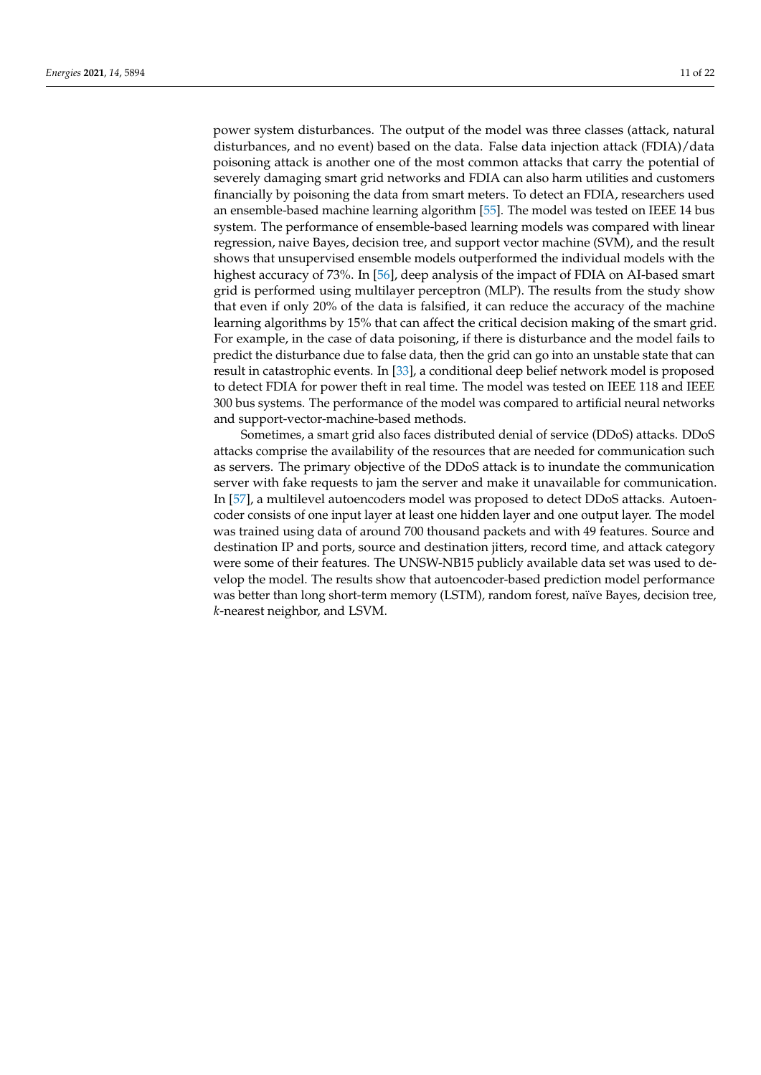power system disturbances. The output of the model was three classes (attack, natural disturbances, and no event) based on the data. False data injection attack (FDIA)/data poisoning attack is another one of the most common attacks that carry the potential of severely damaging smart grid networks and FDIA can also harm utilities and customers financially by poisoning the data from smart meters. To detect an FDIA, researchers used an ensemble-based machine learning algorithm [\[55\]](#page-20-2). The model was tested on IEEE 14 bus system. The performance of ensemble-based learning models was compared with linear regression, naive Bayes, decision tree, and support vector machine (SVM), and the result shows that unsupervised ensemble models outperformed the individual models with the highest accuracy of 73%. In [\[56\]](#page-20-3), deep analysis of the impact of FDIA on AI-based smart grid is performed using multilayer perceptron (MLP). The results from the study show that even if only 20% of the data is falsified, it can reduce the accuracy of the machine learning algorithms by 15% that can affect the critical decision making of the smart grid. For example, in the case of data poisoning, if there is disturbance and the model fails to predict the disturbance due to false data, then the grid can go into an unstable state that can result in catastrophic events. In [\[33\]](#page-19-4), a conditional deep belief network model is proposed to detect FDIA for power theft in real time. The model was tested on IEEE 118 and IEEE 300 bus systems. The performance of the model was compared to artificial neural networks and support-vector-machine-based methods.

Sometimes, a smart grid also faces distributed denial of service (DDoS) attacks. DDoS attacks comprise the availability of the resources that are needed for communication such as servers. The primary objective of the DDoS attack is to inundate the communication server with fake requests to jam the server and make it unavailable for communication. In [\[57\]](#page-20-4), a multilevel autoencoders model was proposed to detect DDoS attacks. Autoencoder consists of one input layer at least one hidden layer and one output layer. The model was trained using data of around 700 thousand packets and with 49 features. Source and destination IP and ports, source and destination jitters, record time, and attack category were some of their features. The UNSW-NB15 publicly available data set was used to develop the model. The results show that autoencoder-based prediction model performance was better than long short-term memory (LSTM), random forest, naïve Bayes, decision tree, *k*-nearest neighbor, and LSVM.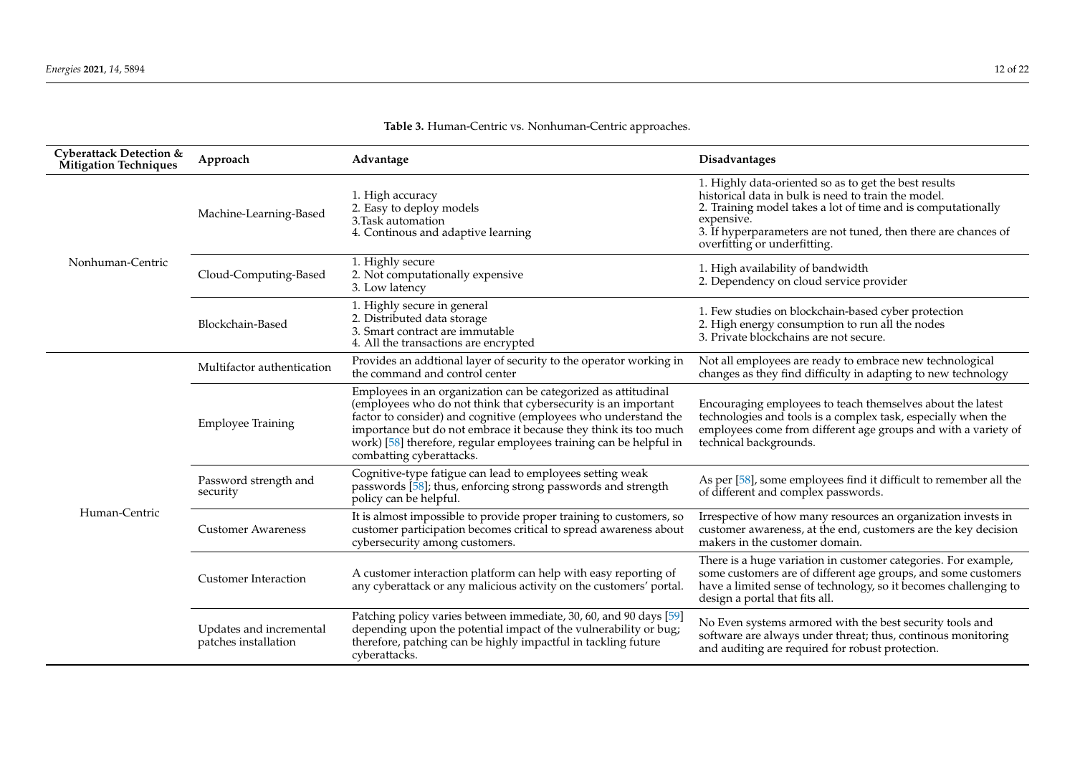<span id="page-11-0"></span>

| <b>Cyberattack Detection &amp;</b><br><b>Mitigation Techniques</b> | Approach                                        | Advantage                                                                                                                                                                                                                                                                                                                                                                 | Disadvantages                                                                                                                                                                                                                                                                                |
|--------------------------------------------------------------------|-------------------------------------------------|---------------------------------------------------------------------------------------------------------------------------------------------------------------------------------------------------------------------------------------------------------------------------------------------------------------------------------------------------------------------------|----------------------------------------------------------------------------------------------------------------------------------------------------------------------------------------------------------------------------------------------------------------------------------------------|
| Nonhuman-Centric                                                   | Machine-Learning-Based                          | 1. High accuracy<br>2. Easy to deploy models<br>3. Task automation<br>4. Continous and adaptive learning                                                                                                                                                                                                                                                                  | 1. Highly data-oriented so as to get the best results<br>historical data in bulk is need to train the model.<br>2. Training model takes a lot of time and is computationally<br>expensive.<br>3. If hyperparameters are not tuned, then there are chances of<br>overfitting or underfitting. |
|                                                                    | Cloud-Computing-Based                           | 1. Highly secure<br>2. Not computationally expensive<br>3. Low latency                                                                                                                                                                                                                                                                                                    | 1. High availability of bandwidth<br>2. Dependency on cloud service provider                                                                                                                                                                                                                 |
|                                                                    | Blockchain-Based                                | 1. Highly secure in general<br>2. Distributed data storage<br>3. Smart contract are immutable<br>4. All the transactions are encrypted                                                                                                                                                                                                                                    | 1. Few studies on blockchain-based cyber protection<br>2. High energy consumption to run all the nodes<br>3. Private blockchains are not secure.                                                                                                                                             |
| Human-Centric                                                      | Multifactor authentication                      | Provides an addtional layer of security to the operator working in<br>the command and control center                                                                                                                                                                                                                                                                      | Not all employees are ready to embrace new technological<br>changes as they find difficulty in adapting to new technology                                                                                                                                                                    |
|                                                                    | <b>Employee Training</b>                        | Employees in an organization can be categorized as attitudinal<br>(employees who do not think that cybersecurity is an important<br>factor to consider) and cognitive (employees who understand the<br>importance but do not embrace it because they think its too much<br>work) [58] therefore, regular employees training can be helpful in<br>combatting cyberattacks. | Encouraging employees to teach themselves about the latest<br>technologies and tools is a complex task, especially when the<br>employees come from different age groups and with a variety of<br>technical backgrounds.                                                                      |
|                                                                    | Password strength and<br>security               | Cognitive-type fatigue can lead to employees setting weak<br>passwords [58]; thus, enforcing strong passwords and strength<br>policy can be helpful.                                                                                                                                                                                                                      | As per [58], some employees find it difficult to remember all the<br>of different and complex passwords.                                                                                                                                                                                     |
|                                                                    | <b>Customer Awareness</b>                       | It is almost impossible to provide proper training to customers, so<br>customer participation becomes critical to spread awareness about<br>cybersecurity among customers.                                                                                                                                                                                                | Irrespective of how many resources an organization invests in<br>customer awareness, at the end, customers are the key decision<br>makers in the customer domain.                                                                                                                            |
|                                                                    | <b>Customer Interaction</b>                     | A customer interaction platform can help with easy reporting of<br>any cyberattack or any malicious activity on the customers' portal.                                                                                                                                                                                                                                    | There is a huge variation in customer categories. For example,<br>some customers are of different age groups, and some customers<br>have a limited sense of technology, so it becomes challenging to<br>design a portal that fits all.                                                       |
|                                                                    | Updates and incremental<br>patches installation | Patching policy varies between immediate, 30, 60, and 90 days [59]<br>depending upon the potential impact of the vulnerability or bug;<br>therefore, patching can be highly impactful in tackling future<br>cyberattacks.                                                                                                                                                 | No Even systems armored with the best security tools and<br>software are always under threat; thus, continous monitoring<br>and auditing are required for robust protection.                                                                                                                 |

# **Table 3.** Human-Centric vs. Nonhuman-Centric approaches.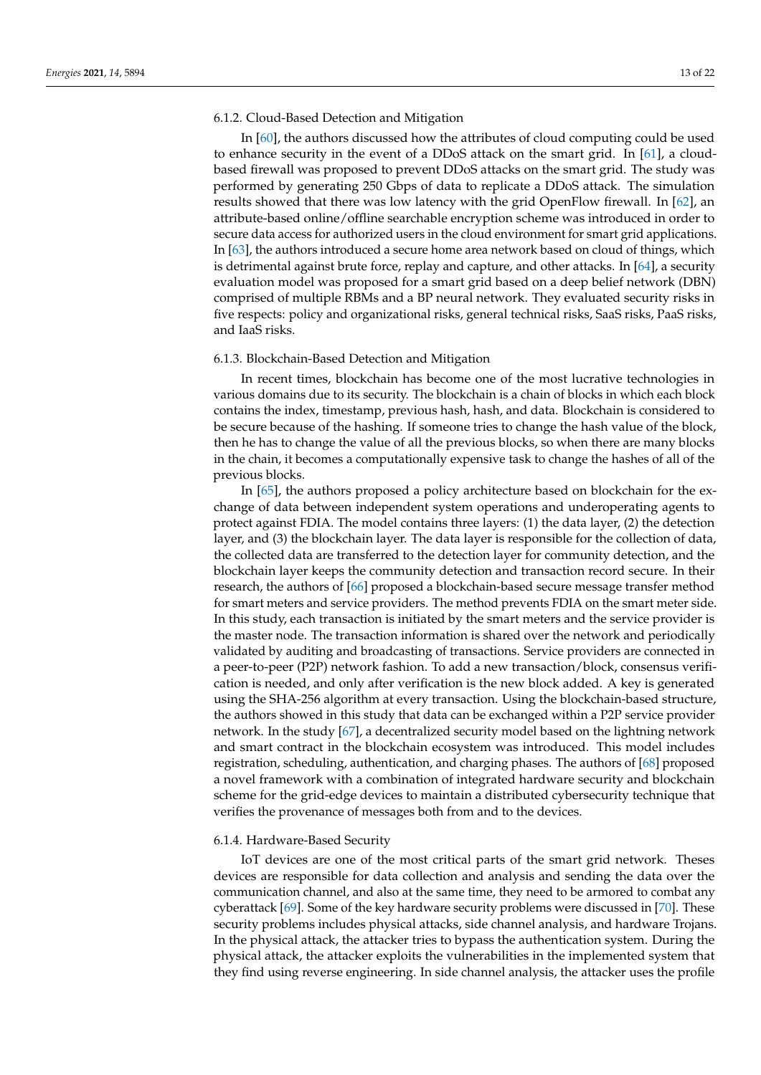# 6.1.2. Cloud-Based Detection and Mitigation

In [\[60\]](#page-20-7), the authors discussed how the attributes of cloud computing could be used to enhance security in the event of a DDoS attack on the smart grid. In [\[61\]](#page-20-8), a cloudbased firewall was proposed to prevent DDoS attacks on the smart grid. The study was performed by generating 250 Gbps of data to replicate a DDoS attack. The simulation results showed that there was low latency with the grid OpenFlow firewall. In [\[62\]](#page-20-9), an attribute-based online/offline searchable encryption scheme was introduced in order to secure data access for authorized users in the cloud environment for smart grid applications. In [\[63\]](#page-20-10), the authors introduced a secure home area network based on cloud of things, which is detrimental against brute force, replay and capture, and other attacks. In  $[64]$ , a security evaluation model was proposed for a smart grid based on a deep belief network (DBN) comprised of multiple RBMs and a BP neural network. They evaluated security risks in five respects: policy and organizational risks, general technical risks, SaaS risks, PaaS risks, and IaaS risks.

#### 6.1.3. Blockchain-Based Detection and Mitigation

In recent times, blockchain has become one of the most lucrative technologies in various domains due to its security. The blockchain is a chain of blocks in which each block contains the index, timestamp, previous hash, hash, and data. Blockchain is considered to be secure because of the hashing. If someone tries to change the hash value of the block, then he has to change the value of all the previous blocks, so when there are many blocks in the chain, it becomes a computationally expensive task to change the hashes of all of the previous blocks.

In [\[65\]](#page-20-12), the authors proposed a policy architecture based on blockchain for the exchange of data between independent system operations and underoperating agents to protect against FDIA. The model contains three layers: (1) the data layer, (2) the detection layer, and (3) the blockchain layer. The data layer is responsible for the collection of data, the collected data are transferred to the detection layer for community detection, and the blockchain layer keeps the community detection and transaction record secure. In their research, the authors of [\[66\]](#page-20-13) proposed a blockchain-based secure message transfer method for smart meters and service providers. The method prevents FDIA on the smart meter side. In this study, each transaction is initiated by the smart meters and the service provider is the master node. The transaction information is shared over the network and periodically validated by auditing and broadcasting of transactions. Service providers are connected in a peer-to-peer (P2P) network fashion. To add a new transaction/block, consensus verification is needed, and only after verification is the new block added. A key is generated using the SHA-256 algorithm at every transaction. Using the blockchain-based structure, the authors showed in this study that data can be exchanged within a P2P service provider network. In the study [\[67\]](#page-20-14), a decentralized security model based on the lightning network and smart contract in the blockchain ecosystem was introduced. This model includes registration, scheduling, authentication, and charging phases. The authors of [\[68\]](#page-20-15) proposed a novel framework with a combination of integrated hardware security and blockchain scheme for the grid-edge devices to maintain a distributed cybersecurity technique that verifies the provenance of messages both from and to the devices.

#### 6.1.4. Hardware-Based Security

IoT devices are one of the most critical parts of the smart grid network. Theses devices are responsible for data collection and analysis and sending the data over the communication channel, and also at the same time, they need to be armored to combat any cyberattack [\[69\]](#page-20-16). Some of the key hardware security problems were discussed in [\[70\]](#page-20-17). These security problems includes physical attacks, side channel analysis, and hardware Trojans. In the physical attack, the attacker tries to bypass the authentication system. During the physical attack, the attacker exploits the vulnerabilities in the implemented system that they find using reverse engineering. In side channel analysis, the attacker uses the profile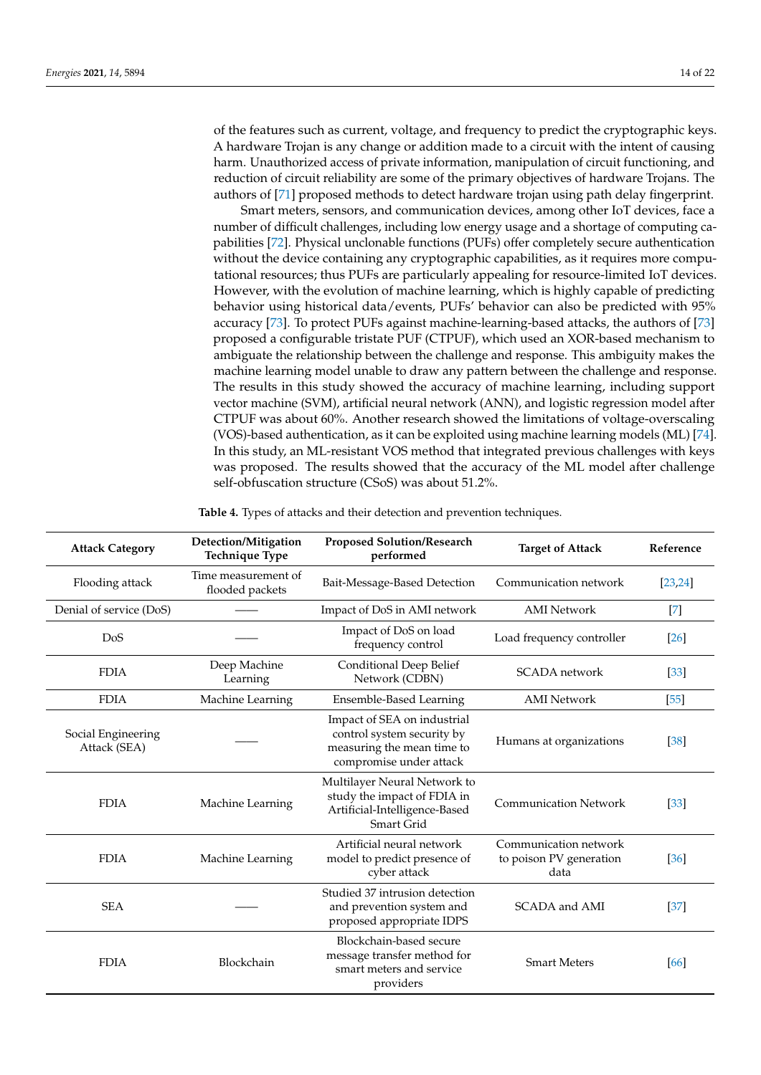of the features such as current, voltage, and frequency to predict the cryptographic keys. A hardware Trojan is any change or addition made to a circuit with the intent of causing harm. Unauthorized access of private information, manipulation of circuit functioning, and reduction of circuit reliability are some of the primary objectives of hardware Trojans. The authors of [\[71\]](#page-20-18) proposed methods to detect hardware trojan using path delay fingerprint.

Smart meters, sensors, and communication devices, among other IoT devices, face a number of difficult challenges, including low energy usage and a shortage of computing capabilities [\[72\]](#page-20-19). Physical unclonable functions (PUFs) offer completely secure authentication without the device containing any cryptographic capabilities, as it requires more computational resources; thus PUFs are particularly appealing for resource-limited IoT devices. However, with the evolution of machine learning, which is highly capable of predicting behavior using historical data/events, PUFs' behavior can also be predicted with 95% accuracy [\[73\]](#page-20-20). To protect PUFs against machine-learning-based attacks, the authors of [\[73\]](#page-20-20) proposed a configurable tristate PUF (CTPUF), which used an XOR-based mechanism to ambiguate the relationship between the challenge and response. This ambiguity makes the machine learning model unable to draw any pattern between the challenge and response. The results in this study showed the accuracy of machine learning, including support vector machine (SVM), artificial neural network (ANN), and logistic regression model after CTPUF was about 60%. Another research showed the limitations of voltage-overscaling (VOS)-based authentication, as it can be exploited using machine learning models (ML) [\[74\]](#page-20-21). In this study, an ML-resistant VOS method that integrated previous challenges with keys was proposed. The results showed that the accuracy of the ML model after challenge self-obfuscation structure (CSoS) was about 51.2%.

| <b>Attack Category</b>             | Detection/Mitigation<br><b>Technique Type</b> | <b>Proposed Solution/Research</b><br>performed                                                                     | <b>Target of Attack</b>                                  | Reference |
|------------------------------------|-----------------------------------------------|--------------------------------------------------------------------------------------------------------------------|----------------------------------------------------------|-----------|
| Flooding attack                    | Time measurement of<br>flooded packets        | Bait-Message-Based Detection                                                                                       | Communication network                                    | [23, 24]  |
| Denial of service (DoS)            |                                               | Impact of DoS in AMI network                                                                                       | <b>AMI</b> Network                                       | $[7]$     |
| DoS                                |                                               | Impact of DoS on load<br>frequency control                                                                         | Load frequency controller                                | $[26]$    |
| <b>FDIA</b>                        | Deep Machine<br>Learning                      | Conditional Deep Belief<br>Network (CDBN)                                                                          | <b>SCADA</b> network                                     | $[33]$    |
| <b>FDIA</b>                        | Machine Learning                              | <b>Ensemble-Based Learning</b>                                                                                     | <b>AMI</b> Network                                       | $[55]$    |
| Social Engineering<br>Attack (SEA) |                                               | Impact of SEA on industrial<br>control system security by<br>measuring the mean time to<br>compromise under attack | Humans at organizations                                  | $[38]$    |
| <b>FDIA</b>                        | Machine Learning                              | Multilayer Neural Network to<br>study the impact of FDIA in<br>Artificial-Intelligence-Based<br>Smart Grid         | <b>Communication Network</b>                             | $[33]$    |
| <b>FDIA</b>                        | Machine Learning                              | Artificial neural network<br>model to predict presence of<br>cyber attack                                          | Communication network<br>to poison PV generation<br>data | $[36]$    |
| <b>SEA</b>                         |                                               | Studied 37 intrusion detection<br>and prevention system and<br>proposed appropriate IDPS                           | SCADA and AMI                                            | $[37]$    |
| <b>FDIA</b>                        | Blockchain                                    | Blockchain-based secure<br>message transfer method for<br>smart meters and service<br>providers                    | <b>Smart Meters</b>                                      | [66]      |

**Table 4.** Types of attacks and their detection and prevention techniques.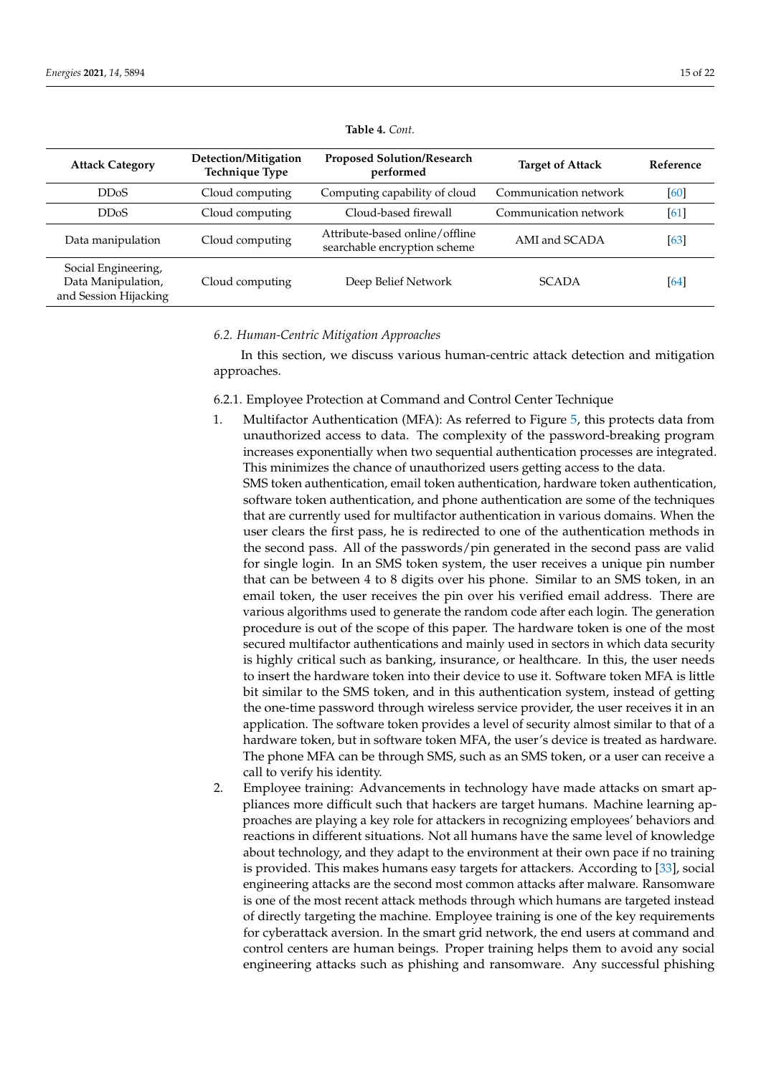<span id="page-14-0"></span>

| <b>Attack Category</b>                                             | Detection/Mitigation<br><b>Technique Type</b> | <b>Proposed Solution/Research</b><br>performed                 | <b>Target of Attack</b> | Reference |
|--------------------------------------------------------------------|-----------------------------------------------|----------------------------------------------------------------|-------------------------|-----------|
| DD <sub>o</sub> S                                                  | Cloud computing                               | Computing capability of cloud                                  | Communication network   | [60]      |
| DD <sub>o</sub> S                                                  | Cloud computing                               | Cloud-based firewall                                           | Communication network   | [61]      |
| Data manipulation                                                  | Cloud computing                               | Attribute-based online/offline<br>searchable encryption scheme | AMI and SCADA           | [63]      |
| Social Engineering,<br>Data Manipulation,<br>and Session Hijacking | Cloud computing                               | Deep Belief Network                                            | <b>SCADA</b>            | [64]      |

#### **Table 4.** *Cont.*

#### *6.2. Human-Centric Mitigation Approaches*

In this section, we discuss various human-centric attack detection and mitigation approaches.

- 6.2.1. Employee Protection at Command and Control Center Technique
- 1. Multifactor Authentication (MFA): As referred to Figure [5,](#page-15-0) this protects data from unauthorized access to data. The complexity of the password-breaking program increases exponentially when two sequential authentication processes are integrated. This minimizes the chance of unauthorized users getting access to the data.

SMS token authentication, email token authentication, hardware token authentication, software token authentication, and phone authentication are some of the techniques that are currently used for multifactor authentication in various domains. When the user clears the first pass, he is redirected to one of the authentication methods in the second pass. All of the passwords/pin generated in the second pass are valid for single login. In an SMS token system, the user receives a unique pin number that can be between 4 to 8 digits over his phone. Similar to an SMS token, in an email token, the user receives the pin over his verified email address. There are various algorithms used to generate the random code after each login. The generation procedure is out of the scope of this paper. The hardware token is one of the most secured multifactor authentications and mainly used in sectors in which data security is highly critical such as banking, insurance, or healthcare. In this, the user needs to insert the hardware token into their device to use it. Software token MFA is little bit similar to the SMS token, and in this authentication system, instead of getting the one-time password through wireless service provider, the user receives it in an application. The software token provides a level of security almost similar to that of a hardware token, but in software token MFA, the user's device is treated as hardware. The phone MFA can be through SMS, such as an SMS token, or a user can receive a call to verify his identity.

2. Employee training: Advancements in technology have made attacks on smart appliances more difficult such that hackers are target humans. Machine learning approaches are playing a key role for attackers in recognizing employees' behaviors and reactions in different situations. Not all humans have the same level of knowledge about technology, and they adapt to the environment at their own pace if no training is provided. This makes humans easy targets for attackers. According to [\[33\]](#page-19-4), social engineering attacks are the second most common attacks after malware. Ransomware is one of the most recent attack methods through which humans are targeted instead of directly targeting the machine. Employee training is one of the key requirements for cyberattack aversion. In the smart grid network, the end users at command and control centers are human beings. Proper training helps them to avoid any social engineering attacks such as phishing and ransomware. Any successful phishing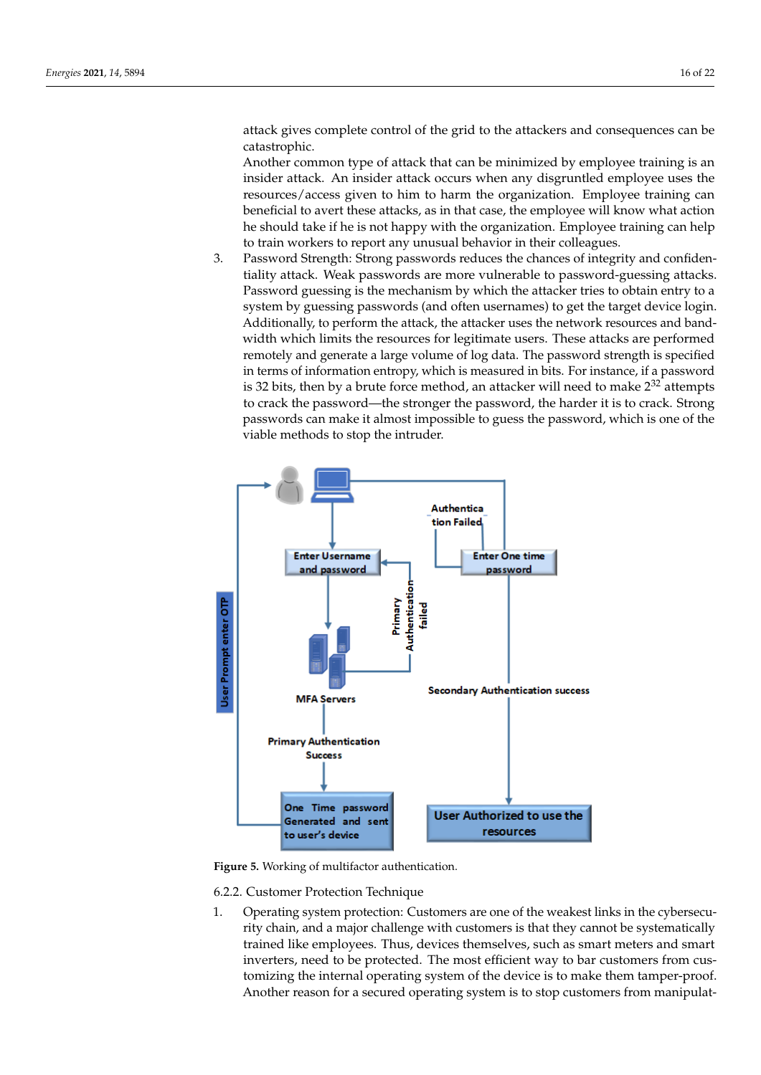attack gives complete control of the grid to the attackers and consequences can be catastrophic.

Another common type of attack that can be minimized by employee training is an insider attack. An insider attack occurs when any disgruntled employee uses the resources/access given to him to harm the organization. Employee training can beneficial to avert these attacks, as in that case, the employee will know what action he should take if he is not happy with the organization. Employee training can help to train workers to report any unusual behavior in their colleagues.

3. Password Strength: Strong passwords reduces the chances of integrity and confidentiality attack. Weak passwords are more vulnerable to password-guessing attacks. Password guessing is the mechanism by which the attacker tries to obtain entry to a system by guessing passwords (and often usernames) to get the target device login. Additionally, to perform the attack, the attacker uses the network resources and bandwidth which limits the resources for legitimate users. These attacks are performed remotely and generate a large volume of log data. The password strength is specified in terms of information entropy, which is measured in bits. For instance, if a password is 32 bits, then by a brute force method, an attacker will need to make  $2^{32}$  attempts to crack the password—the stronger the password, the harder it is to crack. Strong passwords can make it almost impossible to guess the password, which is one of the viable methods to stop the intruder.

<span id="page-15-0"></span>

**Figure 5.** Working of multifactor authentication.

- 6.2.2. Customer Protection Technique
- 1. Operating system protection: Customers are one of the weakest links in the cybersecurity chain, and a major challenge with customers is that they cannot be systematically trained like employees. Thus, devices themselves, such as smart meters and smart inverters, need to be protected. The most efficient way to bar customers from customizing the internal operating system of the device is to make them tamper-proof. Another reason for a secured operating system is to stop customers from manipulat-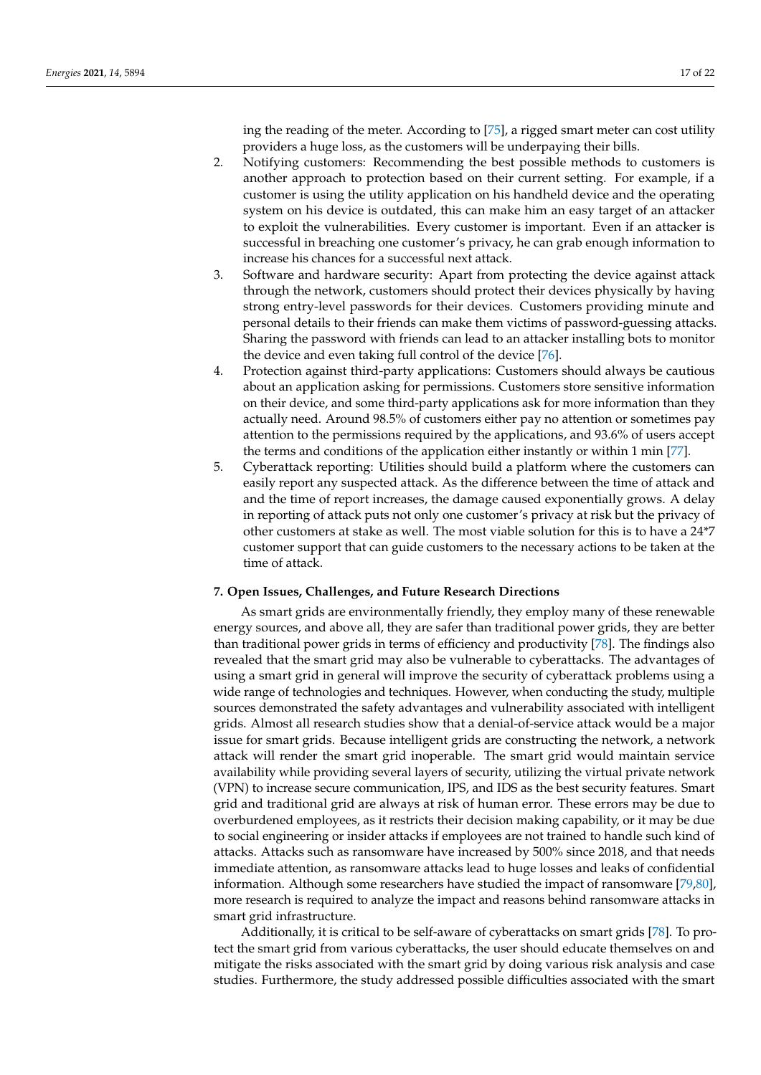ing the reading of the meter. According to [\[75\]](#page-20-22), a rigged smart meter can cost utility providers a huge loss, as the customers will be underpaying their bills.

- 2. Notifying customers: Recommending the best possible methods to customers is another approach to protection based on their current setting. For example, if a customer is using the utility application on his handheld device and the operating system on his device is outdated, this can make him an easy target of an attacker to exploit the vulnerabilities. Every customer is important. Even if an attacker is successful in breaching one customer's privacy, he can grab enough information to increase his chances for a successful next attack.
- 3. Software and hardware security: Apart from protecting the device against attack through the network, customers should protect their devices physically by having strong entry-level passwords for their devices. Customers providing minute and personal details to their friends can make them victims of password-guessing attacks. Sharing the password with friends can lead to an attacker installing bots to monitor the device and even taking full control of the device [\[76\]](#page-20-23).
- 4. Protection against third-party applications: Customers should always be cautious about an application asking for permissions. Customers store sensitive information on their device, and some third-party applications ask for more information than they actually need. Around 98.5% of customers either pay no attention or sometimes pay attention to the permissions required by the applications, and 93.6% of users accept the terms and conditions of the application either instantly or within 1 min [\[77\]](#page-20-24).
- 5. Cyberattack reporting: Utilities should build a platform where the customers can easily report any suspected attack. As the difference between the time of attack and and the time of report increases, the damage caused exponentially grows. A delay in reporting of attack puts not only one customer's privacy at risk but the privacy of other customers at stake as well. The most viable solution for this is to have a 24\*7 customer support that can guide customers to the necessary actions to be taken at the time of attack.

# <span id="page-16-0"></span>**7. Open Issues, Challenges, and Future Research Directions**

As smart grids are environmentally friendly, they employ many of these renewable energy sources, and above all, they are safer than traditional power grids, they are better than traditional power grids in terms of efficiency and productivity [\[78\]](#page-21-0). The findings also revealed that the smart grid may also be vulnerable to cyberattacks. The advantages of using a smart grid in general will improve the security of cyberattack problems using a wide range of technologies and techniques. However, when conducting the study, multiple sources demonstrated the safety advantages and vulnerability associated with intelligent grids. Almost all research studies show that a denial-of-service attack would be a major issue for smart grids. Because intelligent grids are constructing the network, a network attack will render the smart grid inoperable. The smart grid would maintain service availability while providing several layers of security, utilizing the virtual private network (VPN) to increase secure communication, IPS, and IDS as the best security features. Smart grid and traditional grid are always at risk of human error. These errors may be due to overburdened employees, as it restricts their decision making capability, or it may be due to social engineering or insider attacks if employees are not trained to handle such kind of attacks. Attacks such as ransomware have increased by 500% since 2018, and that needs immediate attention, as ransomware attacks lead to huge losses and leaks of confidential information. Although some researchers have studied the impact of ransomware [\[79,](#page-21-1)[80\]](#page-21-2), more research is required to analyze the impact and reasons behind ransomware attacks in smart grid infrastructure.

Additionally, it is critical to be self-aware of cyberattacks on smart grids [\[78\]](#page-21-0). To protect the smart grid from various cyberattacks, the user should educate themselves on and mitigate the risks associated with the smart grid by doing various risk analysis and case studies. Furthermore, the study addressed possible difficulties associated with the smart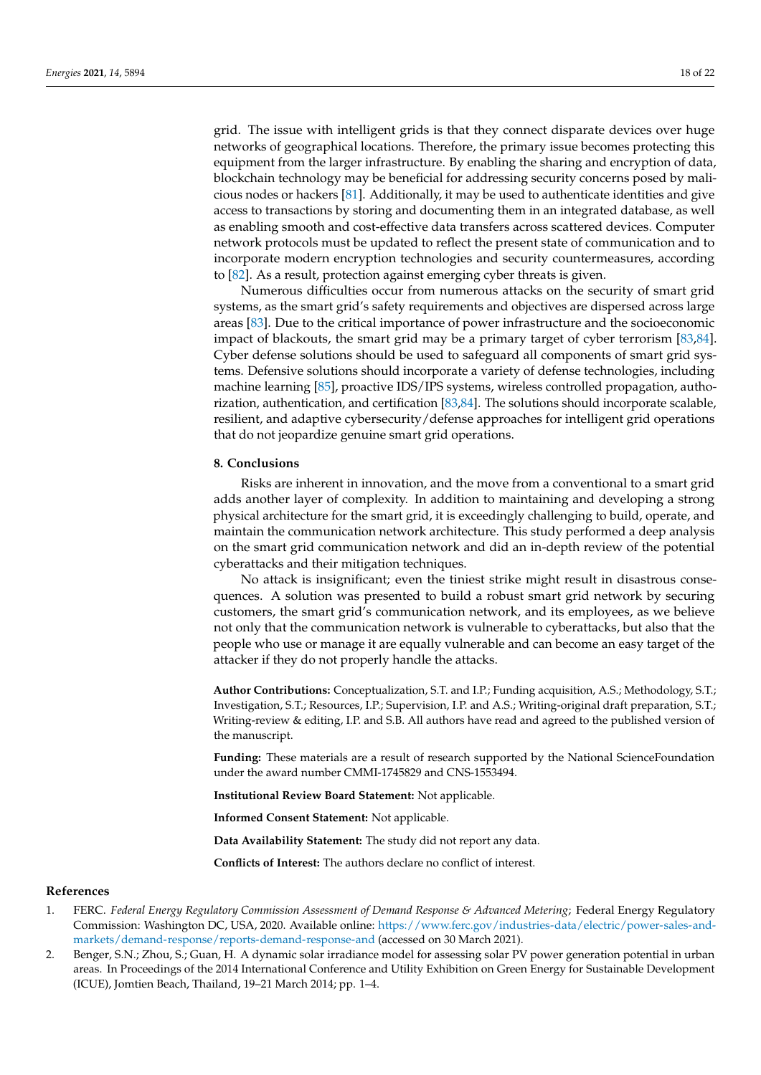grid. The issue with intelligent grids is that they connect disparate devices over huge networks of geographical locations. Therefore, the primary issue becomes protecting this equipment from the larger infrastructure. By enabling the sharing and encryption of data, blockchain technology may be beneficial for addressing security concerns posed by malicious nodes or hackers [\[81\]](#page-21-3). Additionally, it may be used to authenticate identities and give access to transactions by storing and documenting them in an integrated database, as well as enabling smooth and cost-effective data transfers across scattered devices. Computer network protocols must be updated to reflect the present state of communication and to incorporate modern encryption technologies and security countermeasures, according to [\[82\]](#page-21-4). As a result, protection against emerging cyber threats is given.

Numerous difficulties occur from numerous attacks on the security of smart grid systems, as the smart grid's safety requirements and objectives are dispersed across large areas [\[83\]](#page-21-5). Due to the critical importance of power infrastructure and the socioeconomic impact of blackouts, the smart grid may be a primary target of cyber terrorism [\[83,](#page-21-5)[84\]](#page-21-6). Cyber defense solutions should be used to safeguard all components of smart grid systems. Defensive solutions should incorporate a variety of defense technologies, including machine learning [\[85\]](#page-21-7), proactive IDS/IPS systems, wireless controlled propagation, authorization, authentication, and certification [\[83,](#page-21-5)[84\]](#page-21-6). The solutions should incorporate scalable, resilient, and adaptive cybersecurity/defense approaches for intelligent grid operations that do not jeopardize genuine smart grid operations.

#### <span id="page-17-2"></span>**8. Conclusions**

Risks are inherent in innovation, and the move from a conventional to a smart grid adds another layer of complexity. In addition to maintaining and developing a strong physical architecture for the smart grid, it is exceedingly challenging to build, operate, and maintain the communication network architecture. This study performed a deep analysis on the smart grid communication network and did an in-depth review of the potential cyberattacks and their mitigation techniques.

No attack is insignificant; even the tiniest strike might result in disastrous consequences. A solution was presented to build a robust smart grid network by securing customers, the smart grid's communication network, and its employees, as we believe not only that the communication network is vulnerable to cyberattacks, but also that the people who use or manage it are equally vulnerable and can become an easy target of the attacker if they do not properly handle the attacks.

**Author Contributions:** Conceptualization, S.T. and I.P.; Funding acquisition, A.S.; Methodology, S.T.; Investigation, S.T.; Resources, I.P.; Supervision, I.P. and A.S.; Writing-original draft preparation, S.T.; Writing-review & editing, I.P. and S.B. All authors have read and agreed to the published version of the manuscript.

**Funding:** These materials are a result of research supported by the National ScienceFoundation under the award number CMMI-1745829 and CNS-1553494.

**Institutional Review Board Statement:** Not applicable.

**Informed Consent Statement:** Not applicable.

**Data Availability Statement:** The study did not report any data.

**Conflicts of Interest:** The authors declare no conflict of interest.

# **References**

- <span id="page-17-0"></span>1. FERC. *Federal Energy Regulatory Commission Assessment of Demand Response & Advanced Metering*; Federal Energy Regulatory Commission: Washington DC, USA, 2020. Available online: [https://www.ferc.gov/industries-data/electric/power-sales-and](https://www.ferc.gov/industries-data/electric/power-sales-and-markets/demand-response/reports-demand-response-and)[markets/demand-response/reports-demand-response-and](https://www.ferc.gov/industries-data/electric/power-sales-and-markets/demand-response/reports-demand-response-and) (accessed on 30 March 2021).
- <span id="page-17-1"></span>2. Benger, S.N.; Zhou, S.; Guan, H. A dynamic solar irradiance model for assessing solar PV power generation potential in urban areas. In Proceedings of the 2014 International Conference and Utility Exhibition on Green Energy for Sustainable Development (ICUE), Jomtien Beach, Thailand, 19–21 March 2014; pp. 1–4.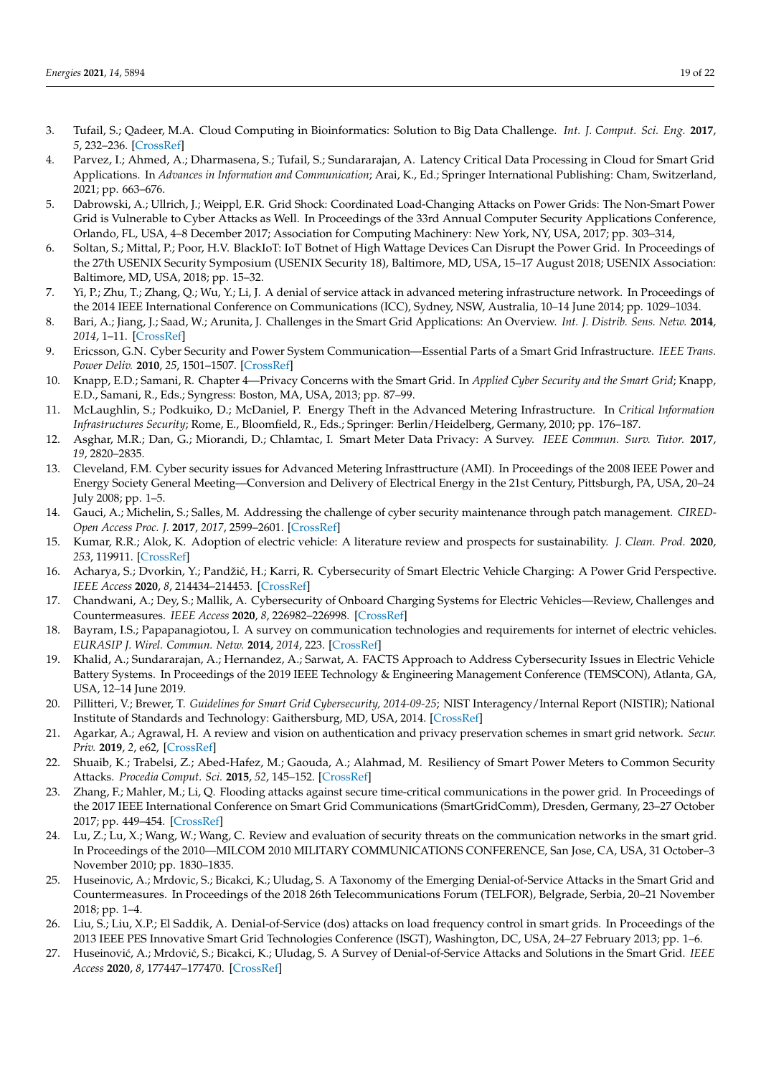- <span id="page-18-0"></span>3. Tufail, S.; Qadeer, M.A. Cloud Computing in Bioinformatics: Solution to Big Data Challenge. *Int. J. Comput. Sci. Eng.* **2017**, *5*, 232–236. [\[CrossRef\]](http://doi.org/10.26438/ijcse/v5i9.232236)
- <span id="page-18-1"></span>4. Parvez, I.; Ahmed, A.; Dharmasena, S.; Tufail, S.; Sundararajan, A. Latency Critical Data Processing in Cloud for Smart Grid Applications. In *Advances in Information and Communication*; Arai, K., Ed.; Springer International Publishing: Cham, Switzerland, 2021; pp. 663–676.
- <span id="page-18-2"></span>5. Dabrowski, A.; Ullrich, J.; Weippl, E.R. Grid Shock: Coordinated Load-Changing Attacks on Power Grids: The Non-Smart Power Grid is Vulnerable to Cyber Attacks as Well. In Proceedings of the 33rd Annual Computer Security Applications Conference, Orlando, FL, USA, 4–8 December 2017; Association for Computing Machinery: New York, NY, USA, 2017; pp. 303–314,
- <span id="page-18-3"></span>6. Soltan, S.; Mittal, P.; Poor, H.V. BlackIoT: IoT Botnet of High Wattage Devices Can Disrupt the Power Grid. In Proceedings of the 27th USENIX Security Symposium (USENIX Security 18), Baltimore, MD, USA, 15–17 August 2018; USENIX Association: Baltimore, MD, USA, 2018; pp. 15–32.
- <span id="page-18-4"></span>7. Yi, P.; Zhu, T.; Zhang, Q.; Wu, Y.; Li, J. A denial of service attack in advanced metering infrastructure network. In Proceedings of the 2014 IEEE International Conference on Communications (ICC), Sydney, NSW, Australia, 10–14 June 2014; pp. 1029–1034.
- <span id="page-18-5"></span>8. Bari, A.; Jiang, J.; Saad, W.; Arunita, J. Challenges in the Smart Grid Applications: An Overview. *Int. J. Distrib. Sens. Netw.* **2014**, *2014*, 1–11. [\[CrossRef\]](http://dx.doi.org/10.1155/2014/974682)
- 9. Ericsson, G.N. Cyber Security and Power System Communication—Essential Parts of a Smart Grid Infrastructure. *IEEE Trans. Power Deliv.* **2010**, *25*, 1501–1507. [\[CrossRef\]](http://dx.doi.org/10.1109/TPWRD.2010.2046654)
- 10. Knapp, E.D.; Samani, R. Chapter 4—Privacy Concerns with the Smart Grid. In *Applied Cyber Security and the Smart Grid*; Knapp, E.D., Samani, R., Eds.; Syngress: Boston, MA, USA, 2013; pp. 87–99.
- 11. McLaughlin, S.; Podkuiko, D.; McDaniel, P. Energy Theft in the Advanced Metering Infrastructure. In *Critical Information Infrastructures Security*; Rome, E., Bloomfield, R., Eds.; Springer: Berlin/Heidelberg, Germany, 2010; pp. 176–187.
- 12. Asghar, M.R.; Dan, G.; Miorandi, D.; Chlamtac, I. Smart Meter Data Privacy: A Survey. *IEEE Commun. Surv. Tutor.* **2017**, *19*, 2820–2835.
- <span id="page-18-6"></span>13. Cleveland, F.M. Cyber security issues for Advanced Metering Infrasttructure (AMI). In Proceedings of the 2008 IEEE Power and Energy Society General Meeting—Conversion and Delivery of Electrical Energy in the 21st Century, Pittsburgh, PA, USA, 20–24 July 2008; pp. 1–5.
- <span id="page-18-7"></span>14. Gauci, A.; Michelin, S.; Salles, M. Addressing the challenge of cyber security maintenance through patch management. *CIRED-Open Access Proc. J.* **2017**, *2017*, 2599–2601. [\[CrossRef\]](http://dx.doi.org/10.1049/oap-cired.2017.0252)
- <span id="page-18-8"></span>15. Kumar, R.R.; Alok, K. Adoption of electric vehicle: A literature review and prospects for sustainability. *J. Clean. Prod.* **2020**, *253*, 119911. [\[CrossRef\]](http://dx.doi.org/10.1016/j.jclepro.2019.119911)
- <span id="page-18-9"></span>16. Acharya, S.; Dvorkin, Y.; Pandžić, H.; Karri, R. Cybersecurity of Smart Electric Vehicle Charging: A Power Grid Perspective. *IEEE Access* **2020**, *8*, 214434–214453. [\[CrossRef\]](http://dx.doi.org/10.1109/ACCESS.2020.3041074)
- <span id="page-18-10"></span>17. Chandwani, A.; Dey, S.; Mallik, A. Cybersecurity of Onboard Charging Systems for Electric Vehicles—Review, Challenges and Countermeasures. *IEEE Access* **2020**, *8*, 226982–226998. [\[CrossRef\]](http://dx.doi.org/10.1109/ACCESS.2020.3045367)
- <span id="page-18-11"></span>18. Bayram, I.S.; Papapanagiotou, I. A survey on communication technologies and requirements for internet of electric vehicles. *EURASIP J. Wirel. Commun. Netw.* **2014**, *2014*, 223. [\[CrossRef\]](http://dx.doi.org/10.1186/1687-1499-2014-223)
- <span id="page-18-12"></span>19. Khalid, A.; Sundararajan, A.; Hernandez, A.; Sarwat, A. FACTS Approach to Address Cybersecurity Issues in Electric Vehicle Battery Systems. In Proceedings of the 2019 IEEE Technology & Engineering Management Conference (TEMSCON), Atlanta, GA, USA, 12–14 June 2019.
- <span id="page-18-13"></span>20. Pillitteri, V.; Brewer, T. *Guidelines for Smart Grid Cybersecurity, 2014-09-25*; NIST Interagency/Internal Report (NISTIR); National Institute of Standards and Technology: Gaithersburg, MD, USA, 2014. [\[CrossRef\]](http://dx.doi.org/10.6028/NIST.IR.7628r1)
- <span id="page-18-14"></span>21. Agarkar, A.; Agrawal, H. A review and vision on authentication and privacy preservation schemes in smart grid network. *Secur. Priv.* **2019**, *2*, e62, [\[CrossRef\]](http://dx.doi.org/10.1002/spy2.62)
- <span id="page-18-15"></span>22. Shuaib, K.; Trabelsi, Z.; Abed-Hafez, M.; Gaouda, A.; Alahmad, M. Resiliency of Smart Power Meters to Common Security Attacks. *Procedia Comput. Sci.* **2015**, *52*, 145–152. [\[CrossRef\]](http://dx.doi.org/10.1016/j.procs.2015.05.049)
- <span id="page-18-16"></span>23. Zhang, F.; Mahler, M.; Li, Q. Flooding attacks against secure time-critical communications in the power grid. In Proceedings of the 2017 IEEE International Conference on Smart Grid Communications (SmartGridComm), Dresden, Germany, 23–27 October 2017; pp. 449–454. [\[CrossRef\]](http://dx.doi.org/10.1109/SmartGridComm.2017.8340726)
- <span id="page-18-17"></span>24. Lu, Z.; Lu, X.; Wang, W.; Wang, C. Review and evaluation of security threats on the communication networks in the smart grid. In Proceedings of the 2010—MILCOM 2010 MILITARY COMMUNICATIONS CONFERENCE, San Jose, CA, USA, 31 October–3 November 2010; pp. 1830–1835.
- <span id="page-18-18"></span>25. Huseinovic, A.; Mrdovic, S.; Bicakci, K.; Uludag, S. A Taxonomy of the Emerging Denial-of-Service Attacks in the Smart Grid and Countermeasures. In Proceedings of the 2018 26th Telecommunications Forum (TELFOR), Belgrade, Serbia, 20–21 November 2018; pp. 1–4.
- <span id="page-18-19"></span>26. Liu, S.; Liu, X.P.; El Saddik, A. Denial-of-Service (dos) attacks on load frequency control in smart grids. In Proceedings of the 2013 IEEE PES Innovative Smart Grid Technologies Conference (ISGT), Washington, DC, USA, 24–27 February 2013; pp. 1–6.
- 27. Huseinović, A.; Mrdović, S.; Bicakci, K.; Uludag, S. A Survey of Denial-of-Service Attacks and Solutions in the Smart Grid. *IEEE Access* **2020**, *8*, 177447–177470. [\[CrossRef\]](http://dx.doi.org/10.1109/ACCESS.2020.3026923)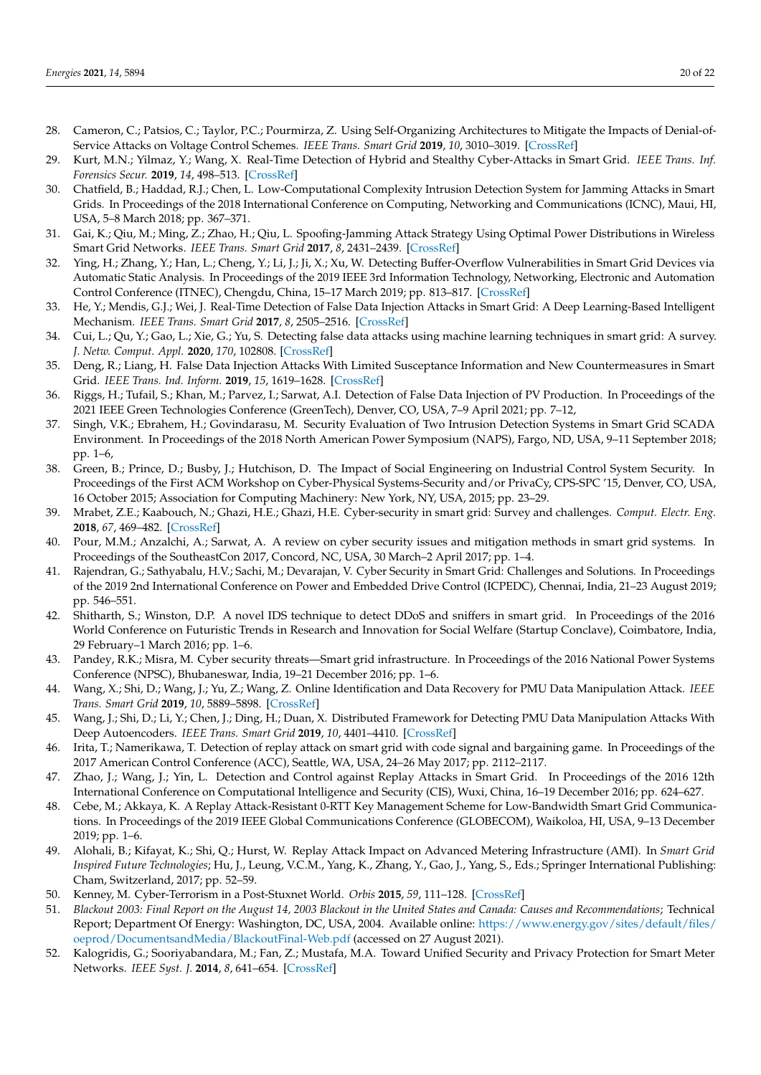- <span id="page-19-0"></span>28. Cameron, C.; Patsios, C.; Taylor, P.C.; Pourmirza, Z. Using Self-Organizing Architectures to Mitigate the Impacts of Denial-of-Service Attacks on Voltage Control Schemes. *IEEE Trans. Smart Grid* **2019**, *10*, 3010–3019. [\[CrossRef\]](http://dx.doi.org/10.1109/TSG.2018.2817046)
- <span id="page-19-1"></span>29. Kurt, M.N.; Yilmaz, Y.; Wang, X. Real-Time Detection of Hybrid and Stealthy Cyber-Attacks in Smart Grid. *IEEE Trans. Inf. Forensics Secur.* **2019**, *14*, 498–513. [\[CrossRef\]](http://dx.doi.org/10.1109/TIFS.2018.2854745)
- 30. Chatfield, B.; Haddad, R.J.; Chen, L. Low-Computational Complexity Intrusion Detection System for Jamming Attacks in Smart Grids. In Proceedings of the 2018 International Conference on Computing, Networking and Communications (ICNC), Maui, HI, USA, 5–8 March 2018; pp. 367–371.
- <span id="page-19-2"></span>31. Gai, K.; Qiu, M.; Ming, Z.; Zhao, H.; Qiu, L. Spoofing-Jamming Attack Strategy Using Optimal Power Distributions in Wireless Smart Grid Networks. *IEEE Trans. Smart Grid* **2017**, *8*, 2431–2439. [\[CrossRef\]](http://dx.doi.org/10.1109/TSG.2017.2664043)
- <span id="page-19-3"></span>32. Ying, H.; Zhang, Y.; Han, L.; Cheng, Y.; Li, J.; Ji, X.; Xu, W. Detecting Buffer-Overflow Vulnerabilities in Smart Grid Devices via Automatic Static Analysis. In Proceedings of the 2019 IEEE 3rd Information Technology, Networking, Electronic and Automation Control Conference (ITNEC), Chengdu, China, 15–17 March 2019; pp. 813–817. [\[CrossRef\]](http://dx.doi.org/10.1109/ITNEC.2019.8729362)
- <span id="page-19-4"></span>33. He, Y.; Mendis, G.J.; Wei, J. Real-Time Detection of False Data Injection Attacks in Smart Grid: A Deep Learning-Based Intelligent Mechanism. *IEEE Trans. Smart Grid* **2017**, *8*, 2505–2516. [\[CrossRef\]](http://dx.doi.org/10.1109/TSG.2017.2703842)
- 34. Cui, L.; Qu, Y.; Gao, L.; Xie, G.; Yu, S. Detecting false data attacks using machine learning techniques in smart grid: A survey. *J. Netw. Comput. Appl.* **2020**, *170*, 102808. [\[CrossRef\]](http://dx.doi.org/10.1016/j.jnca.2020.102808)
- 35. Deng, R.; Liang, H. False Data Injection Attacks With Limited Susceptance Information and New Countermeasures in Smart Grid. *IEEE Trans. Ind. Inform.* **2019**, *15*, 1619–1628. [\[CrossRef\]](http://dx.doi.org/10.1109/TII.2018.2863256)
- <span id="page-19-5"></span>36. Riggs, H.; Tufail, S.; Khan, M.; Parvez, I.; Sarwat, A.I. Detection of False Data Injection of PV Production. In Proceedings of the 2021 IEEE Green Technologies Conference (GreenTech), Denver, CO, USA, 7–9 April 2021; pp. 7–12,
- <span id="page-19-6"></span>37. Singh, V.K.; Ebrahem, H.; Govindarasu, M. Security Evaluation of Two Intrusion Detection Systems in Smart Grid SCADA Environment. In Proceedings of the 2018 North American Power Symposium (NAPS), Fargo, ND, USA, 9–11 September 2018; pp. 1–6,
- <span id="page-19-18"></span>38. Green, B.; Prince, D.; Busby, J.; Hutchison, D. The Impact of Social Engineering on Industrial Control System Security. In Proceedings of the First ACM Workshop on Cyber-Physical Systems-Security and/or PrivaCy, CPS-SPC '15, Denver, CO, USA, 16 October 2015; Association for Computing Machinery: New York, NY, USA, 2015; pp. 23–29.
- <span id="page-19-7"></span>39. Mrabet, Z.E.; Kaabouch, N.; Ghazi, H.E.; Ghazi, H.E. Cyber-security in smart grid: Survey and challenges. *Comput. Electr. Eng.* **2018**, *67*, 469–482. [\[CrossRef\]](http://dx.doi.org/10.1016/j.compeleceng.2018.01.015)
- 40. Pour, M.M.; Anzalchi, A.; Sarwat, A. A review on cyber security issues and mitigation methods in smart grid systems. In Proceedings of the SoutheastCon 2017, Concord, NC, USA, 30 March–2 April 2017; pp. 1–4.
- <span id="page-19-8"></span>41. Rajendran, G.; Sathyabalu, H.V.; Sachi, M.; Devarajan, V. Cyber Security in Smart Grid: Challenges and Solutions. In Proceedings of the 2019 2nd International Conference on Power and Embedded Drive Control (ICPEDC), Chennai, India, 21–23 August 2019; pp. 546–551.
- <span id="page-19-9"></span>42. Shitharth, S.; Winston, D.P. A novel IDS technique to detect DDoS and sniffers in smart grid. In Proceedings of the 2016 World Conference on Futuristic Trends in Research and Innovation for Social Welfare (Startup Conclave), Coimbatore, India, 29 February–1 March 2016; pp. 1–6.
- <span id="page-19-10"></span>43. Pandey, R.K.; Misra, M. Cyber security threats—Smart grid infrastructure. In Proceedings of the 2016 National Power Systems Conference (NPSC), Bhubaneswar, India, 19–21 December 2016; pp. 1–6.
- <span id="page-19-11"></span>44. Wang, X.; Shi, D.; Wang, J.; Yu, Z.; Wang, Z. Online Identification and Data Recovery for PMU Data Manipulation Attack. *IEEE Trans. Smart Grid* **2019**, *10*, 5889–5898. [\[CrossRef\]](http://dx.doi.org/10.1109/TSG.2019.2892423)
- <span id="page-19-12"></span>45. Wang, J.; Shi, D.; Li, Y.; Chen, J.; Ding, H.; Duan, X. Distributed Framework for Detecting PMU Data Manipulation Attacks With Deep Autoencoders. *IEEE Trans. Smart Grid* **2019**, *10*, 4401–4410. [\[CrossRef\]](http://dx.doi.org/10.1109/TSG.2018.2859339)
- <span id="page-19-13"></span>46. Irita, T.; Namerikawa, T. Detection of replay attack on smart grid with code signal and bargaining game. In Proceedings of the 2017 American Control Conference (ACC), Seattle, WA, USA, 24–26 May 2017; pp. 2112–2117.
- 47. Zhao, J.; Wang, J.; Yin, L. Detection and Control against Replay Attacks in Smart Grid. In Proceedings of the 2016 12th International Conference on Computational Intelligence and Security (CIS), Wuxi, China, 16–19 December 2016; pp. 624–627.
- 48. Cebe, M.; Akkaya, K. A Replay Attack-Resistant 0-RTT Key Management Scheme for Low-Bandwidth Smart Grid Communications. In Proceedings of the 2019 IEEE Global Communications Conference (GLOBECOM), Waikoloa, HI, USA, 9–13 December 2019; pp. 1–6.
- <span id="page-19-14"></span>49. Alohali, B.; Kifayat, K.; Shi, Q.; Hurst, W. Replay Attack Impact on Advanced Metering Infrastructure (AMI). In *Smart Grid Inspired Future Technologies*; Hu, J., Leung, V.C.M., Yang, K., Zhang, Y., Gao, J., Yang, S., Eds.; Springer International Publishing: Cham, Switzerland, 2017; pp. 52–59.
- <span id="page-19-15"></span>50. Kenney, M. Cyber-Terrorism in a Post-Stuxnet World. *Orbis* **2015**, *59*, 111–128. [\[CrossRef\]](http://dx.doi.org/10.1016/j.orbis.2014.11.009)
- <span id="page-19-16"></span>51. *Blackout 2003: Final Report on the August 14, 2003 Blackout in the United States and Canada: Causes and Recommendations*; Technical Report; Department Of Energy: Washington, DC, USA, 2004. Available online: [https://www.energy.gov/sites/default/files/](https://www.energy.gov/sites/default/files/oeprod/DocumentsandMedia/BlackoutFinal-Web.pdf) [oeprod/DocumentsandMedia/BlackoutFinal-Web.pdf](https://www.energy.gov/sites/default/files/oeprod/DocumentsandMedia/BlackoutFinal-Web.pdf) (accessed on 27 August 2021).
- <span id="page-19-17"></span>52. Kalogridis, G.; Sooriyabandara, M.; Fan, Z.; Mustafa, M.A. Toward Unified Security and Privacy Protection for Smart Meter Networks. *IEEE Syst. J.* **2014**, *8*, 641–654. [\[CrossRef\]](http://dx.doi.org/10.1109/JSYST.2013.2260940)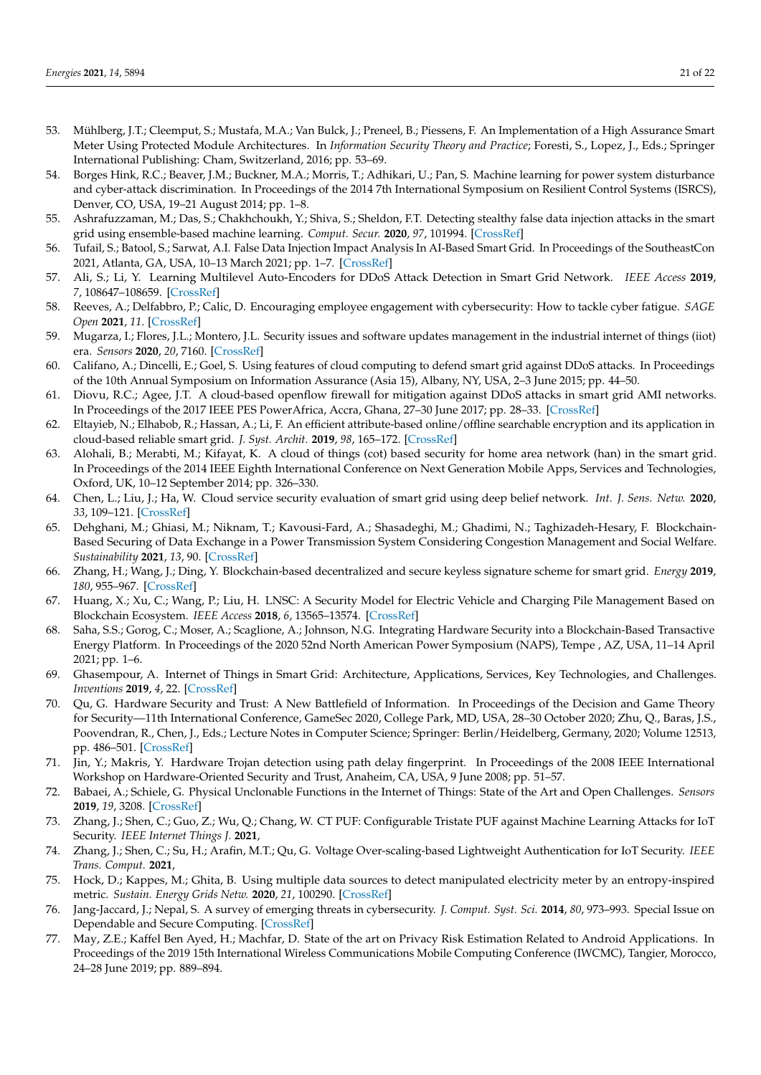- <span id="page-20-6"></span><span id="page-20-5"></span><span id="page-20-0"></span>53. Mühlberg, J.T.; Cleemput, S.; Mustafa, M.A.; Van Bulck, J.; Preneel, B.; Piessens, F. An Implementation of a High Assurance Smart Meter Using Protected Module Architectures. In *Information Security Theory and Practice*; Foresti, S., Lopez, J., Eds.; Springer International Publishing: Cham, Switzerland, 2016; pp. 53–69.
- <span id="page-20-1"></span>54. Borges Hink, R.C.; Beaver, J.M.; Buckner, M.A.; Morris, T.; Adhikari, U.; Pan, S. Machine learning for power system disturbance and cyber-attack discrimination. In Proceedings of the 2014 7th International Symposium on Resilient Control Systems (ISRCS), Denver, CO, USA, 19–21 August 2014; pp. 1–8.
- <span id="page-20-2"></span>55. Ashrafuzzaman, M.; Das, S.; Chakhchoukh, Y.; Shiva, S.; Sheldon, F.T. Detecting stealthy false data injection attacks in the smart grid using ensemble-based machine learning. *Comput. Secur.* **2020**, *97*, 101994. [\[CrossRef\]](http://dx.doi.org/10.1016/j.cose.2020.101994)
- <span id="page-20-3"></span>56. Tufail, S.; Batool, S.; Sarwat, A.I. False Data Injection Impact Analysis In AI-Based Smart Grid. In Proceedings of the SoutheastCon 2021, Atlanta, GA, USA, 10–13 March 2021; pp. 1–7. [\[CrossRef\]](http://dx.doi.org/10.1109/SoutheastCon45413.2021.9401940)
- <span id="page-20-4"></span>57. Ali, S.; Li, Y. Learning Multilevel Auto-Encoders for DDoS Attack Detection in Smart Grid Network. *IEEE Access* **2019**, *7*, 108647–108659. [\[CrossRef\]](http://dx.doi.org/10.1109/ACCESS.2019.2933304)
- 58. Reeves, A.; Delfabbro, P.; Calic, D. Encouraging employee engagement with cybersecurity: How to tackle cyber fatigue. *SAGE Open* **2021**, *11*. [\[CrossRef\]](http://dx.doi.org/10.1177/21582440211000049)
- 59. Mugarza, I.; Flores, J.L.; Montero, J.L. Security issues and software updates management in the industrial internet of things (iiot) era. *Sensors* **2020**, *20*, 7160. [\[CrossRef\]](http://dx.doi.org/10.3390/s20247160)
- <span id="page-20-7"></span>60. Califano, A.; Dincelli, E.; Goel, S. Using features of cloud computing to defend smart grid against DDoS attacks. In Proceedings of the 10th Annual Symposium on Information Assurance (Asia 15), Albany, NY, USA, 2–3 June 2015; pp. 44–50.
- <span id="page-20-8"></span>61. Diovu, R.C.; Agee, J.T. A cloud-based openflow firewall for mitigation against DDoS attacks in smart grid AMI networks. In Proceedings of the 2017 IEEE PES PowerAfrica, Accra, Ghana, 27–30 June 2017; pp. 28–33. [\[CrossRef\]](http://dx.doi.org/10.1109/PowerAfrica.2017.7991195)
- <span id="page-20-9"></span>62. Eltayieb, N.; Elhabob, R.; Hassan, A.; Li, F. An efficient attribute-based online/offline searchable encryption and its application in cloud-based reliable smart grid. *J. Syst. Archit.* **2019**, *98*, 165–172. [\[CrossRef\]](http://dx.doi.org/10.1016/j.sysarc.2019.07.005)
- <span id="page-20-10"></span>63. Alohali, B.; Merabti, M.; Kifayat, K. A cloud of things (cot) based security for home area network (han) in the smart grid. In Proceedings of the 2014 IEEE Eighth International Conference on Next Generation Mobile Apps, Services and Technologies, Oxford, UK, 10–12 September 2014; pp. 326–330.
- <span id="page-20-11"></span>64. Chen, L.; Liu, J.; Ha, W. Cloud service security evaluation of smart grid using deep belief network. *Int. J. Sens. Netw.* **2020**, *33*, 109–121. [\[CrossRef\]](http://dx.doi.org/10.1504/IJSNET.2020.107875)
- <span id="page-20-12"></span>65. Dehghani, M.; Ghiasi, M.; Niknam, T.; Kavousi-Fard, A.; Shasadeghi, M.; Ghadimi, N.; Taghizadeh-Hesary, F. Blockchain-Based Securing of Data Exchange in a Power Transmission System Considering Congestion Management and Social Welfare. *Sustainability* **2021**, *13*, 90. [\[CrossRef\]](http://dx.doi.org/10.3390/su13010090)
- <span id="page-20-13"></span>66. Zhang, H.; Wang, J.; Ding, Y. Blockchain-based decentralized and secure keyless signature scheme for smart grid. *Energy* **2019**, *180*, 955–967. [\[CrossRef\]](http://dx.doi.org/10.1016/j.energy.2019.05.127)
- <span id="page-20-14"></span>67. Huang, X.; Xu, C.; Wang, P.; Liu, H. LNSC: A Security Model for Electric Vehicle and Charging Pile Management Based on Blockchain Ecosystem. *IEEE Access* **2018**, *6*, 13565–13574. [\[CrossRef\]](http://dx.doi.org/10.1109/ACCESS.2018.2812176)
- <span id="page-20-15"></span>68. Saha, S.S.; Gorog, C.; Moser, A.; Scaglione, A.; Johnson, N.G. Integrating Hardware Security into a Blockchain-Based Transactive Energy Platform. In Proceedings of the 2020 52nd North American Power Symposium (NAPS), Tempe , AZ, USA, 11–14 April 2021; pp. 1–6.
- <span id="page-20-16"></span>69. Ghasempour, A. Internet of Things in Smart Grid: Architecture, Applications, Services, Key Technologies, and Challenges. *Inventions* **2019**, *4*, 22. [\[CrossRef\]](http://dx.doi.org/10.3390/inventions4010022)
- <span id="page-20-17"></span>70. Qu, G. Hardware Security and Trust: A New Battlefield of Information. In Proceedings of the Decision and Game Theory for Security—11th International Conference, GameSec 2020, College Park, MD, USA, 28–30 October 2020; Zhu, Q., Baras, J.S., Poovendran, R., Chen, J., Eds.; Lecture Notes in Computer Science; Springer: Berlin/Heidelberg, Germany, 2020; Volume 12513, pp. 486–501. [\[CrossRef\]](http://dx.doi.org/10.1007/978-3-030-64793-3_27)
- <span id="page-20-18"></span>71. Jin, Y.; Makris, Y. Hardware Trojan detection using path delay fingerprint. In Proceedings of the 2008 IEEE International Workshop on Hardware-Oriented Security and Trust, Anaheim, CA, USA, 9 June 2008; pp. 51–57.
- <span id="page-20-19"></span>72. Babaei, A.; Schiele, G. Physical Unclonable Functions in the Internet of Things: State of the Art and Open Challenges. *Sensors* **2019**, *19*, 3208. [\[CrossRef\]](http://dx.doi.org/10.3390/s19143208)
- <span id="page-20-20"></span>73. Zhang, J.; Shen, C.; Guo, Z.; Wu, Q.; Chang, W. CT PUF: Configurable Tristate PUF against Machine Learning Attacks for IoT Security. *IEEE Internet Things J.* **2021**,
- <span id="page-20-21"></span>74. Zhang, J.; Shen, C.; Su, H.; Arafin, M.T.; Qu, G. Voltage Over-scaling-based Lightweight Authentication for IoT Security. *IEEE Trans. Comput.* **2021**,
- <span id="page-20-22"></span>75. Hock, D.; Kappes, M.; Ghita, B. Using multiple data sources to detect manipulated electricity meter by an entropy-inspired metric. *Sustain. Energy Grids Netw.* **2020**, *21*, 100290. [\[CrossRef\]](http://dx.doi.org/10.1016/j.segan.2019.100290)
- <span id="page-20-23"></span>76. Jang-Jaccard, J.; Nepal, S. A survey of emerging threats in cybersecurity. *J. Comput. Syst. Sci.* **2014**, *80*, 973–993. Special Issue on Dependable and Secure Computing. [\[CrossRef\]](http://dx.doi.org/10.1016/j.jcss.2014.02.005)
- <span id="page-20-24"></span>77. May, Z.E.; Kaffel Ben Ayed, H.; Machfar, D. State of the art on Privacy Risk Estimation Related to Android Applications. In Proceedings of the 2019 15th International Wireless Communications Mobile Computing Conference (IWCMC), Tangier, Morocco, 24–28 June 2019; pp. 889–894.